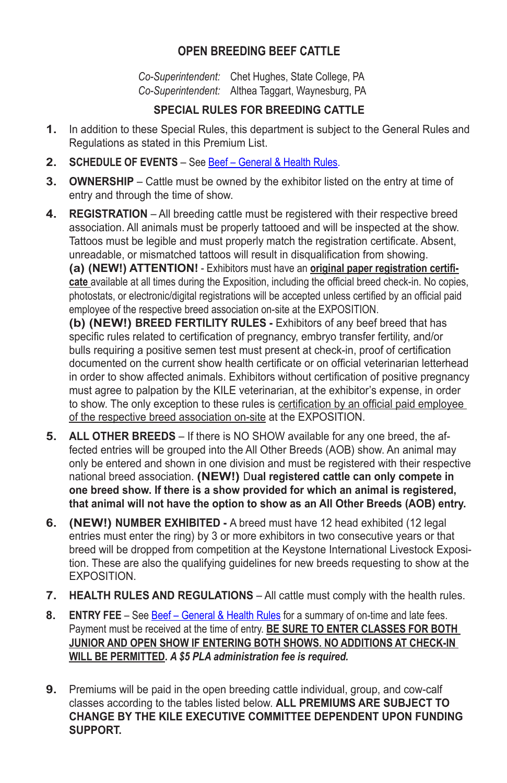## **OPEN BREEDING BEEF CATTLE**

*Co-Superintendent:* Chet Hughes, State College, PA *Co-Superintendent:* Althea Taggart, Waynesburg, PA

### **SPECIAL RULES FOR BREEDING CATTLE**

- **1.** In addition to these Special Rules, this department is subject to the General Rules and Regulations as stated in this Premium List.
- **2. SCHEDULE OF EVENTS** See Beef General & Health Rules.
- **3. OWNERSHIP** Cattle must be owned by the exhibitor listed on the entry at time of entry and through the time of show.
- **4. REGISTRATION** All breeding cattle must be registered with their respective breed association. All animals must be properly tattooed and will be inspected at the show. Tattoos must be legible and must properly match the registration certificate. Absent, unreadable, or mismatched tattoos will result in disqualification from showing.

**(a) (NEW!) ATTENTION!** - Exhibitors must have an **original paper registration certificate** available at all times during the Exposition, including the official breed check-in. No copies, photostats, or electronic/digital registrations will be accepted unless certified by an official paid employee of the respective breed association on-site at the EXPOSITION.

**(b) (NEW!) BREED FERTILITY RULES -** Exhibitors of any beef breed that has specific rules related to certification of pregnancy, embryo transfer fertility, and/or bulls requiring a positive semen test must present at check-in, proof of certification documented on the current show health certificate or on official veterinarian letterhead in order to show affected animals. Exhibitors without certification of positive pregnancy must agree to palpation by the KILE veterinarian, at the exhibitor's expense, in order to show. The only exception to these rules is certification by an official paid employee of the respective breed association on-site at the EXPOSITION.

- **5. ALL OTHER BREEDS** If there is NO SHOW available for any one breed, the affected entries will be grouped into the All Other Breeds (AOB) show. An animal may only be entered and shown in one division and must be registered with their respective national breed association. **(NEW!)** D**ual registered cattle can only compete in one breed show. If there is a show provided for which an animal is registered, that animal will not have the option to show as an All Other Breeds (AOB) entry.**
- **6. (NEW!) NUMBER EXHIBITED** A breed must have 12 head exhibited (12 legal entries must enter the ring) by 3 or more exhibitors in two consecutive years or that breed will be dropped from competition at the Keystone International Livestock Exposition. These are also the qualifying guidelines for new breeds requesting to show at the EXPOSITION.
- **7. HEALTH RULES AND REGULATIONS** All cattle must comply with the health rules.
- **8. ENTRY FEE** See Beef General & Health Rules for a summary of on-time and late fees. Payment must be received at the time of entry. **BE SURE TO ENTER CLASSES FOR BOTH JUNIOR AND OPEN SHOW IF ENTERING BOTH SHOWS. NO ADDITIONS AT CHECK-IN WILL BE PERMITTED.** *A \$5 PLA administration fee is required.*
- **9.** Premiums will be paid in the open breeding cattle individual, group, and cow-calf classes according to the tables listed below. **ALL PREMIUMS ARE SUBJECT TO CHANGE BY THE KILE EXECUTIVE COMMITTEE DEPENDENT UPON FUNDING SUPPORT.**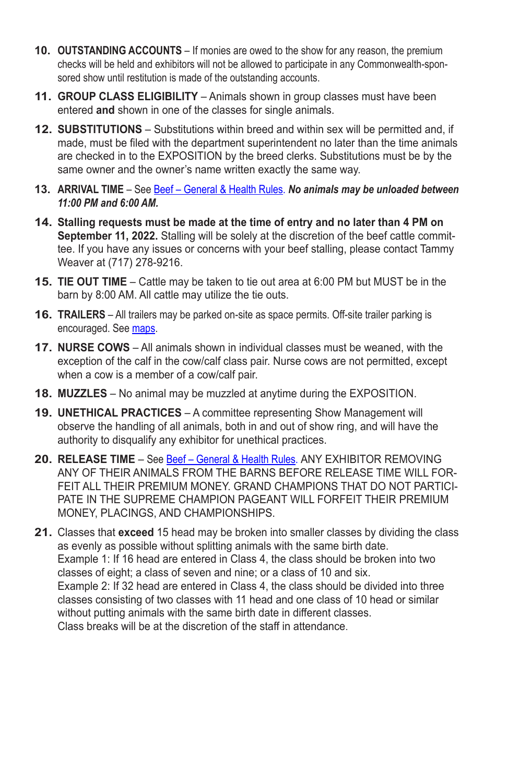- **10. OUTSTANDING ACCOUNTS** If monies are owed to the show for any reason, the premium checks will be held and exhibitors will not be allowed to participate in any Commonwealth-sponsored show until restitution is made of the outstanding accounts.
- **11. GROUP CLASS ELIGIBILITY** Animals shown in group classes must have been entered **and** shown in one of the classes for single animals.
- **12. SUBSTITUTIONS** Substitutions within breed and within sex will be permitted and, if made, must be filed with the department superintendent no later than the time animals are checked in to the EXPOSITION by the breed clerks. Substitutions must be by the same owner and the owner's name written exactly the same way.
- **13. ARRIVAL TIME** See Beef General & Health Rules. *No animals may be unloaded between 11:00 PM and 6:00 AM.*
- **14. Stalling requests must be made at the time of entry and no later than 4 PM on September 11, 2022.** Stalling will be solely at the discretion of the beef cattle committee. If you have any issues or concerns with your beef stalling, please contact Tammy Weaver at (717) 278-9216.
- **15. TIE OUT TIME** Cattle may be taken to tie out area at 6:00 PM but MUST be in the barn by 8:00 AM. All cattle may utilize the tie outs.
- **16. TRAILERS** All trailers may be parked on-site as space permits. Off-site trailer parking is encouraged. See maps.
- **17. NURSE COWS**  All animals shown in individual classes must be weaned, with the exception of the calf in the cow/calf class pair. Nurse cows are not permitted, except when a cow is a member of a cow/calf pair.
- **18. MUZZLES** No animal may be muzzled at anytime during the EXPOSITION.
- **19. UNETHICAL PRACTICES** A committee representing Show Management will observe the handling of all animals, both in and out of show ring, and will have the authority to disqualify any exhibitor for unethical practices.
- 20. RELEASE TIME See Beef General & Health Rules. ANY EXHIBITOR REMOVING ANY OF THEIR ANIMALS FROM THE BARNS BEFORE RELEASE TIME WILL FOR-FEIT ALL THEIR PREMIUM MONEY. GRAND CHAMPIONS THAT DO NOT PARTICI-PATE IN THE SUPREME CHAMPION PAGEANT WILL FORFEIT THEIR PREMIUM MONEY, PLACINGS, AND CHAMPIONSHIPS.
- **21.** Classes that **exceed** 15 head may be broken into smaller classes by dividing the class as evenly as possible without splitting animals with the same birth date. Example 1: If 16 head are entered in Class 4, the class should be broken into two classes of eight; a class of seven and nine; or a class of 10 and six. Example 2: If 32 head are entered in Class 4, the class should be divided into three classes consisting of two classes with 11 head and one class of 10 head or similar without putting animals with the same birth date in different classes. Class breaks will be at the discretion of the staff in attendance.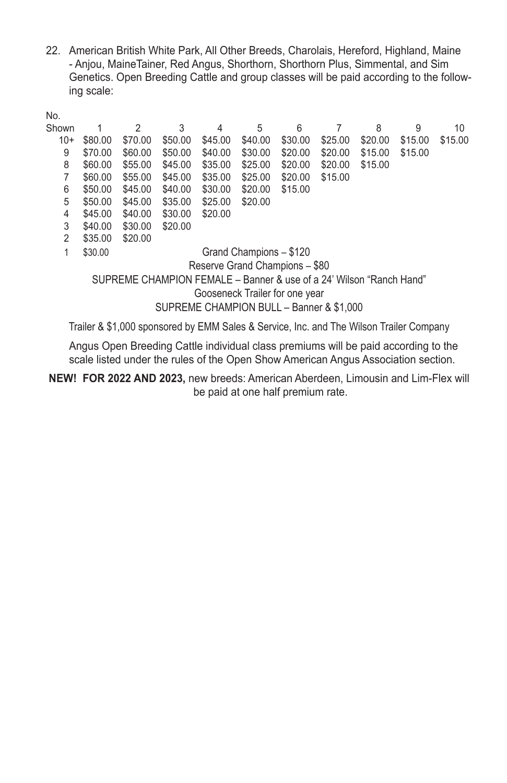22. American British White Park, All Other Breeds, Charolais, Hereford, Highland, Maine - Anjou, MaineTainer, Red Angus, Shorthorn, Shorthorn Plus, Simmental, and Sim Genetics. Open Breeding Cattle and group classes will be paid according to the following scale:

| No.                                                                 |         |                         |         |         |         |         |         |         |         |         |  |
|---------------------------------------------------------------------|---------|-------------------------|---------|---------|---------|---------|---------|---------|---------|---------|--|
| Shown                                                               | 1       | 2                       | 3       | 4       | 5       | 6       | 7       | 8       | 9       | 10      |  |
| $10+$                                                               | \$80.00 | \$70.00                 | \$50.00 | \$45.00 | \$40.00 | \$30.00 | \$25.00 | \$20.00 | \$15.00 | \$15.00 |  |
| 9                                                                   | \$70.00 | \$60.00                 | \$50.00 | \$40.00 | \$30.00 | \$20.00 | \$20.00 | \$15.00 | \$15.00 |         |  |
| 8                                                                   | \$60.00 | \$55.00                 | \$45.00 | \$35.00 | \$25.00 | \$20.00 | \$20.00 | \$15.00 |         |         |  |
| 7                                                                   | \$60.00 | \$55.00                 | \$45.00 | \$35.00 | \$25.00 | \$20.00 | \$15.00 |         |         |         |  |
| 6                                                                   | \$50.00 | \$45.00                 | \$40.00 | \$30.00 | \$20.00 | \$15.00 |         |         |         |         |  |
| 5                                                                   | \$50.00 | \$45.00                 | \$35.00 | \$25.00 | \$20.00 |         |         |         |         |         |  |
| 4                                                                   | \$45.00 | \$40.00                 | \$30.00 | \$20.00 |         |         |         |         |         |         |  |
| 3                                                                   | \$40.00 | \$30.00                 | \$20.00 |         |         |         |         |         |         |         |  |
| 2                                                                   | \$35.00 | \$20.00                 |         |         |         |         |         |         |         |         |  |
| 1                                                                   | \$30.00 | Grand Champions - \$120 |         |         |         |         |         |         |         |         |  |
| Reserve Grand Champions - \$80                                      |         |                         |         |         |         |         |         |         |         |         |  |
| SUPREME CHAMPION FEMALE – Banner & use of a 24' Wilson "Ranch Hand" |         |                         |         |         |         |         |         |         |         |         |  |
| Gooseneck Trailer for one year                                      |         |                         |         |         |         |         |         |         |         |         |  |
|                                                                     |         |                         |         |         |         |         |         |         |         |         |  |
| SUPREME CHAMPION BULL - Banner & \$1,000                            |         |                         |         |         |         |         |         |         |         |         |  |

Trailer & \$1,000 sponsored by EMM Sales & Service, Inc. and The Wilson Trailer Company

Angus Open Breeding Cattle individual class premiums will be paid according to the scale listed under the rules of the Open Show American Angus Association section.

**NEW! FOR 2022 AND 2023,** new breeds: American Aberdeen, Limousin and Lim-Flex will be paid at one half premium rate.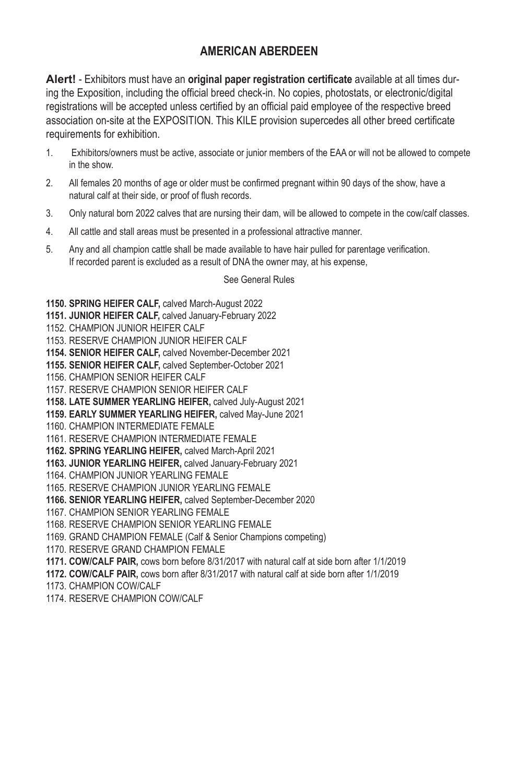# **AMERICAN ABERDEEN**

**Alert!** - Exhibitors must have an **original paper registration certificate** available at all times during the Exposition, including the official breed check-in. No copies, photostats, or electronic/digital registrations will be accepted unless certified by an official paid employee of the respective breed association on-site at the EXPOSITION. This KILE provision supercedes all other breed certificate requirements for exhibition.

- 1. Exhibitors/owners must be active, associate or junior members of the EAA or will not be allowed to compete in the show.
- 2. All females 20 months of age or older must be confirmed pregnant within 90 days of the show, have a natural calf at their side, or proof of flush records.
- 3. Only natural born 2022 calves that are nursing their dam, will be allowed to compete in the cow/calf classes.
- 4. All cattle and stall areas must be presented in a professional attractive manner.
- 5. Any and all champion cattle shall be made available to have hair pulled for parentage verification. If recorded parent is excluded as a result of DNA the owner may, at his expense,

#### See General Rules

**1150. SPRING HEIFER CALF,** calved March-August 2022

- **1151. JUNIOR HEIFER CALF,** calved January-February 2022
- 1152. CHAMPION JUNIOR HEIFER CALF
- 1153. RESERVE CHAMPION JUNIOR HEIFER CALF
- **1154. SENIOR HEIFER CALF,** calved November-December 2021
- **1155. SENIOR HEIFER CALF,** calved September-October 2021
- 1156. CHAMPION SENIOR HEIFER CALF
- 1157. RESERVE CHAMPION SENIOR HEIFER CALF
- **1158. LATE SUMMER YEARLING HEIFER,** calved July-August 2021
- **1159. EARLY SUMMER YEARLING HEIFER,** calved May-June 2021
- 1160. CHAMPION INTERMEDIATE FEMALE
- 1161. RESERVE CHAMPION INTERMEDIATE FEMALE
- **1162. SPRING YEARLING HEIFER,** calved March-April 2021
- **1163. JUNIOR YEARLING HEIFER,** calved January-February 2021
- 1164. CHAMPION JUNIOR YEARLING FEMALE
- 1165. RESERVE CHAMPION JUNIOR YEARLING FEMALE
- **1166. SENIOR YEARLING HEIFER,** calved September-December 2020
- 1167. CHAMPION SENIOR YEARLING FEMALE
- 1168. RESERVE CHAMPION SENIOR YEARLING FEMALE
- 1169. GRAND CHAMPION FEMALE (Calf & Senior Champions competing)
- 1170. RESERVE GRAND CHAMPION FEMALE
- **1171. COW/CALF PAIR,** cows born before 8/31/2017 with natural calf at side born after 1/1/2019
- **1172. COW/CALF PAIR,** cows born after 8/31/2017 with natural calf at side born after 1/1/2019
- 1173. CHAMPION COW/CALF
- 1174. RESERVE CHAMPION COW/CALF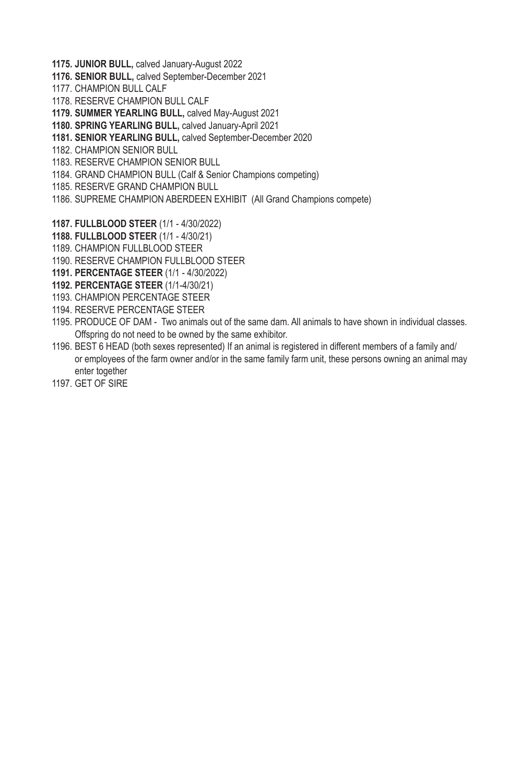- **1175. JUNIOR BULL,** calved January-August 2022
- **1176. SENIOR BULL,** calved September-December 2021
- 1177. CHAMPION BULL CALF
- 1178. RESERVE CHAMPION BULL CALF
- **1179. SUMMER YEARLING BULL,** calved May-August 2021
- **1180. SPRING YEARLING BULL,** calved January-April 2021
- **1181. SENIOR YEARLING BULL,** calved September-December 2020
- 1182. CHAMPION SENIOR BULL
- 1183. RESERVE CHAMPION SENIOR BULL
- 1184. GRAND CHAMPION BULL (Calf & Senior Champions competing)
- 1185. RESERVE GRAND CHAMPION BULL
- 1186. SUPREME CHAMPION ABERDEEN EXHIBIT (All Grand Champions compete)
- **1187. FULLBLOOD STEER** (1/1 4/30/2022)
- **1188. FULLBLOOD STEER** (1/1 4/30/21)
- 1189. CHAMPION FULLBLOOD STEER
- 1190. RESERVE CHAMPION FULLBLOOD STEER
- **1191. PERCENTAGE STEER** (1/1 4/30/2022)
- **1192. PERCENTAGE STEER** (1/1-4/30/21)
- 1193. CHAMPION PERCENTAGE STEER
- 1194. RESERVE PERCENTAGE STEER
- 1195. PRODUCE OF DAM Two animals out of the same dam. All animals to have shown in individual classes. Offspring do not need to be owned by the same exhibitor.
- 1196. BEST 6 HEAD (both sexes represented) If an animal is registered in different members of a family and/ or employees of the farm owner and/or in the same family farm unit, these persons owning an animal may enter together
- 1197. GET OF SIRE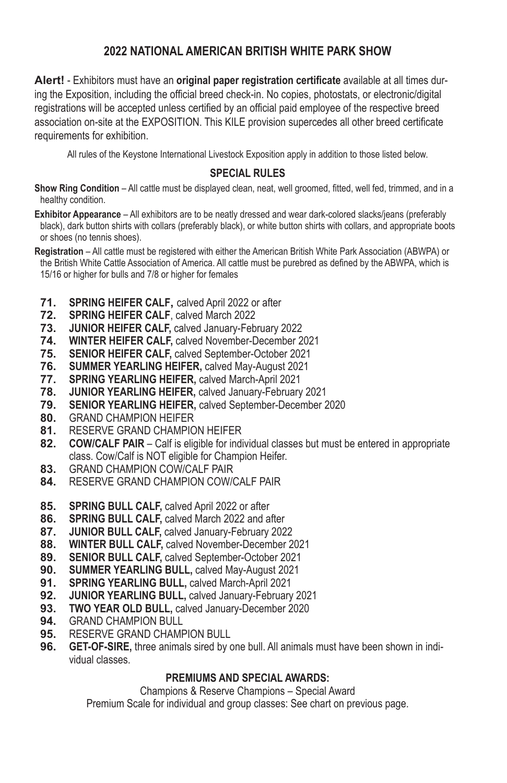## **2022 NATIONAL AMERICAN BRITISH WHITE PARK SHOW**

**Alert!** - Exhibitors must have an **original paper registration certificate** available at all times during the Exposition, including the official breed check-in. No copies, photostats, or electronic/digital registrations will be accepted unless certified by an official paid employee of the respective breed association on-site at the EXPOSITION. This KILE provision supercedes all other breed certificate requirements for exhibition.

All rules of the Keystone International Livestock Exposition apply in addition to those listed below.

### **SPECIAL RULES**

**Show Ring Condition** – All cattle must be displayed clean, neat, well groomed, fitted, well fed, trimmed, and in a healthy condition.

**Exhibitor Appearance** – All exhibitors are to be neatly dressed and wear dark-colored slacks/jeans (preferably black), dark button shirts with collars (preferably black), or white button shirts with collars, and appropriate boots or shoes (no tennis shoes).

**Registration** – All cattle must be registered with either the American British White Park Association (ABWPA) or the British White Cattle Association of America. All cattle must be purebred as defined by the ABWPA, which is 15/16 or higher for bulls and 7/8 or higher for females

- **71. SPRING HEIFER CALF,** calved April 2022 or after
- **72. SPRING HEIFER CALF**, calved March 2022
- **73. JUNIOR HEIFER CALF,** calved January-February 2022
- **74. WINTER HEIFER CALF,** calved November-December 2021
- **75. SENIOR HEIFER CALF,** calved September-October 2021
- **76. SUMMER YEARLING HEIFER,** calved May-August 2021
- **77. SPRING YEARLING HEIFER,** calved March-April 2021
- **78. JUNIOR YEARLING HEIFER,** calved January-February 2021
- **79. SENIOR YEARLING HEIFER,** calved September-December 2020
- **80.** GRAND CHAMPION HEIFER
- **81.** RESERVE GRAND CHAMPION HEIFER<br>**82. COW/CALF PAIR** Calf is eligible for indi
- **82. COW/CALF PAIR**  Calf is eligible for individual classes but must be entered in appropriate class. Cow/Calf is NOT eligible for Champion Heifer.
- **83.** GRAND CHAMPION COW/CALF PAIR
- **84.** RESERVE GRAND CHAMPION COW/CALF PAIR
- **85. SPRING BULL CALF,** calved April 2022 or after
- **86. SPRING BULL CALF,** calved March 2022 and after
- **87. JUNIOR BULL CALF,** calved January-February 2022
- **88. WINTER BULL CALF,** calved November-December 2021
- **89. SENIOR BULL CALF,** calved September-October 2021
- **90. SUMMER YEARLING BULL,** calved May-August 2021
- **91. SPRING YEARLING BULL,** calved March-April 2021
- **92. JUNIOR YEARLING BULL,** calved January-February 2021
- **93. TWO YEAR OLD BULL,** calved January-December 2020
- 
- **94.** GRAND CHAMPION BULL<br>**95.** RESERVE GRAND CHAMP **95.** RESERVE GRAND CHAMPION BULL<br>**96.** GET-OF-SIRE, three animals sired by a
	- **96. GET-OF-SIRE,** three animals sired by one bull. All animals must have been shown in individual classes.

### **PREMIUMS AND SPECIAL AWARDS:**

Champions & Reserve Champions – Special Award

Premium Scale for individual and group classes: See chart on previous page.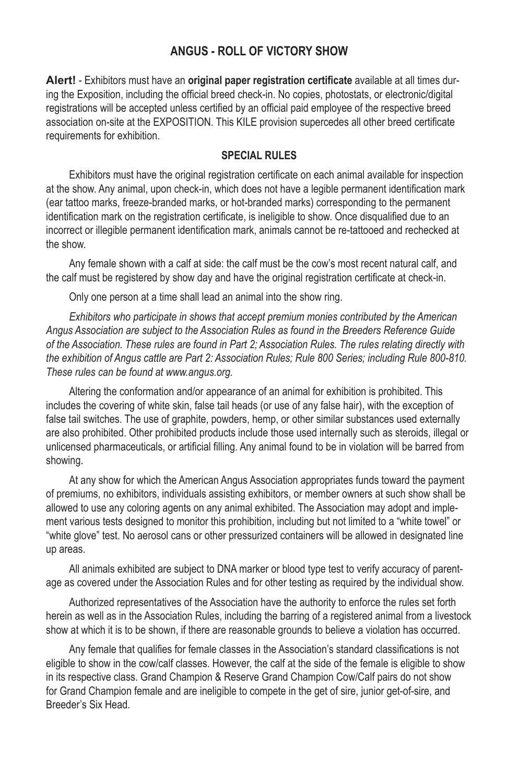### **ANGUS - ROLL OF VICTORY SHOW**

**Alert!** - Exhibitors must have an **original paper registration certificate** available at all times during the Exposition, including the official breed check-in. No copies, photostats, or electronic/digital registrations will be accepted unless certified by an official paid employee of the respective breed association on-site at the EXPOSITION. This KILE provision supercedes all other breed certificate requirements for exhibition.

#### **SPECIAL RULES**

Exhibitors must have the original registration certificate on each animal available for inspection at the show. Any animal, upon check-in, which does not have a legible permanent identification mark (ear tattoo marks, freeze-branded marks, or hot-branded marks) corresponding to the permanent identification mark on the registration certificate, is ineligible to show. Once disqualified due to an incorrect or illegible permanent identification mark, animals cannot be re-tattooed and rechecked at the show.

Any female shown with a calf at side: the calf must be the cow's most recent natural calf, and the calf must be registered by show day and have the original registration certificate at check-in.

Only one person at a time shall lead an animal into the show ring.

*Exhibitors who participate in shows that accept premium monies contributed by the American Angus Association are subject to the Association Rules as found in the Breeders Reference Guide of the Association. These rules are found in Part 2; Association Rules. The rules relating directly with the exhibition of Angus cattle are Part 2: Association Rules; Rule 800 Series; including Rule 800-810. These rules can be found at www.angus.org.*

Altering the conformation and/or appearance of an animal for exhibition is prohibited. This includes the covering of white skin, false tail heads (or use of any false hair), with the exception of false tail switches. The use of graphite, powders, hemp, or other similar substances used externally are also prohibited. Other prohibited products include those used internally such as steroids, illegal or unlicensed pharmaceuticals, or artificial filling. Any animal found to be in violation will be barred from showing.

At any show for which the American Angus Association appropriates funds toward the payment of premiums, no exhibitors, individuals assisting exhibitors, or member owners at such show shall be allowed to use any coloring agents on any animal exhibited. The Association may adopt and implement various tests designed to monitor this prohibition, including but not limited to a "white towel" or "white glove" test. No aerosol cans or other pressurized containers will be allowed in designated line up areas.

All animals exhibited are subject to DNA marker or blood type test to verify accuracy of parentage as covered under the Association Rules and for other testing as required by the individual show.

Authorized representatives of the Association have the authority to enforce the rules set forth herein as well as in the Association Rules, including the barring of a registered animal from a livestock show at which it is to be shown, if there are reasonable grounds to believe a violation has occurred.

Any female that qualifies for female classes in the Association's standard classifications is not eligible to show in the cow/calf classes. However, the calf at the side of the female is eligible to show in its respective class. Grand Champion & Reserve Grand Champion Cow/Calf pairs do not show for Grand Champion female and are ineligible to compete in the get of sire, junior get-of-sire, and Breeder's Six Head.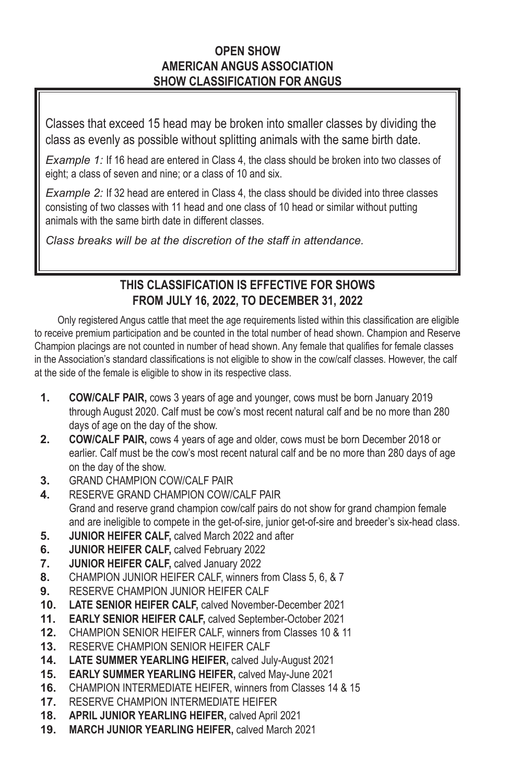## **OPEN SHOW AMERICAN ANGUS ASSOCIATION SHOW CLASSIFICATION FOR ANGUS**

Classes that exceed 15 head may be broken into smaller classes by dividing the class as evenly as possible without splitting animals with the same birth date.

*Example 1:* If 16 head are entered in Class 4, the class should be broken into two classes of eight; a class of seven and nine; or a class of 10 and six.

*Example 2:* If 32 head are entered in Class 4, the class should be divided into three classes consisting of two classes with 11 head and one class of 10 head or similar without putting animals with the same birth date in different classes.

*Class breaks will be at the discretion of the staff in attendance.*

## **THIS CLASSIFICATION IS EFFECTIVE FOR SHOWS FROM JULY 16, 2022, TO DECEMBER 31, 2022**

Only registered Angus cattle that meet the age requirements listed within this classification are eligible to receive premium participation and be counted in the total number of head shown. Champion and Reserve Champion placings are not counted in number of head shown. Any female that qualifies for female classes in the Association's standard classifications is not eligible to show in the cow/calf classes. However, the calf at the side of the female is eligible to show in its respective class.

- **1. COW/CALF PAIR,** cows 3 years of age and younger, cows must be born January 2019 through August 2020. Calf must be cow's most recent natural calf and be no more than 280 days of age on the day of the show.
- **2. COW/CALF PAIR,** cows 4 years of age and older, cows must be born December 2018 or earlier. Calf must be the cow's most recent natural calf and be no more than 280 days of age on the day of the show.
- **3.** GRAND CHAMPION COW/CALF PAIR
- **4.** RESERVE GRAND CHAMPION COW/CALF PAIR Grand and reserve grand champion cow/calf pairs do not show for grand champion female and are ineligible to compete in the get-of-sire, junior get-of-sire and breeder's six-head class.
- **5. JUNIOR HEIFER CALF,** calved March 2022 and after
- **6. JUNIOR HEIFER CALF,** calved February 2022
- **7. JUNIOR HEIFER CALF,** calved January 2022
- **8.** CHAMPION JUNIOR HEIFER CALF, winners from Class 5, 6, & 7<br>**9.** RESERVE CHAMPION JUNIOR HEIFER CALE
- **9.** RESERVE CHAMPION JUNIOR HEIFER CALF<br>**10.** LATE SENIOR HEIFER CALF, calved Novembe
- **10. LATE SENIOR HEIFER CALF,** calved November‑December 2021
- **11. EARLY SENIOR HEIFER CALF,** calved September‑October 2021
- **12.** CHAMPION SENIOR HEIFER CALF, winners from Classes 10 & 11
- **13.** RESERVE CHAMPION SENIOR HEIFER CALF<br>**14. IATE SUMMER YEARLING HEIFER.** calved Ju
- **14. LATE SUMMER YEARLING HEIFER,** calved July‑August 2021
- **15. EARLY SUMMER YEARLING HEIFER,** calved May‑June 2021
- **16.** CHAMPION INTERMEDIATE HEIFER, winners from Classes 14 & 15
- **17.** RESERVE CHAMPION INTERMEDIATE HEIFER
- **18. APRIL JUNIOR YEARLING HEIFER,** calved April 2021
- **19. MARCH JUNIOR YEARLING HEIFER,** calved March 2021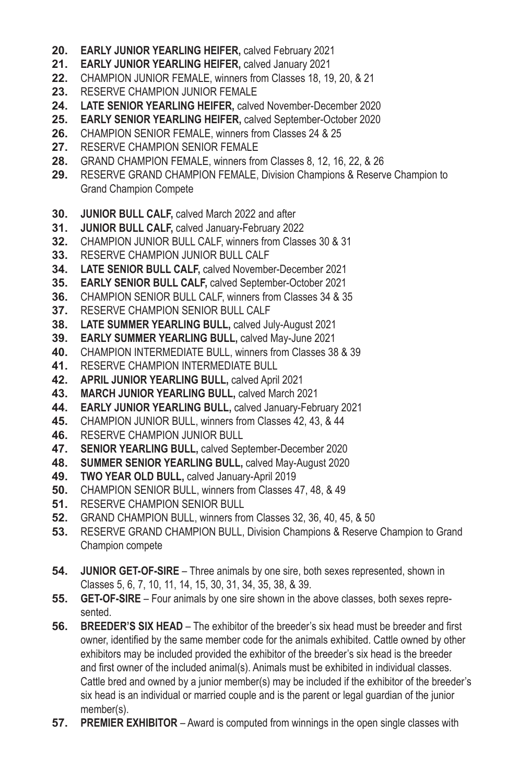- **20. EARLY JUNIOR YEARLING HEIFER,** calved February 2021
- **21. EARLY JUNIOR YEARLING HEIFER,** calved January 2021
- **22.** CHAMPION JUNIOR FEMALE, winners from Classes 18, 19, 20, & 21
- **23. RESERVE CHAMPION JUNIOR FEMALE<br><b>24. LATE SENIOR YEARLING HEIFER.** calve
- **24. LATE SENIOR YEARLING HEIFER,** calved November‑December 2020
- **25. EARLY SENIOR YEARLING HEIFER,** calved September‑October 2020
- **26.** CHAMPION SENIOR FEMALE, winners from Classes 24 & 25
- **27.** RESERVE CHAMPION SENIOR FEMALE
- **28.** GRAND CHAMPION FEMALE, winners from Classes 8, 12, 16, 22, & 26
- **29.** RESERVE GRAND CHAMPION FEMALE, Division Champions & Reserve Champion to Grand Champion Compete
- **30. JUNIOR BULL CALF,** calved March 2022 and after
- **31. JUNIOR BULL CALF,** calved January‑February 2022
- **32.** CHAMPION JUNIOR BULL CALF, winners from Classes 30 & 31
- **33.** RESERVE CHAMPION JUNIOR BULL CALF
- **34. LATE SENIOR BULL CALF,** calved November‑December 2021
- **35. EARLY SENIOR BULL CALF,** calved September‑October 2021
- **36.** CHAMPION SENIOR BULL CALF, winners from Classes 34 & 35
- **37.** RESERVE CHAMPION SENIOR BULL CALF
- **38. LATE SUMMER YEARLING BULL,** calved July‑August 2021
- **39. EARLY SUMMER YEARLING BULL,** calved May‑June 2021
- **40.** CHAMPION INTERMEDIATE BULL, winners from Classes 38 & 39
- **41.** RESERVE CHAMPION INTERMEDIATE BULL
- **42. APRIL JUNIOR YEARLING BULL,** calved April 2021
- **43. MARCH JUNIOR YEARLING BULL,** calved March 2021
- **44. EARLY JUNIOR YEARLING BULL,** calved January‑February 2021
- **45.** CHAMPION JUNIOR BULL, winners from Classes 42, 43, & 44
- **46.** RESERVE CHAMPION JUNIOR BULL
- **47. SENIOR YEARLING BULL,** calved September‑December 2020
- **48. SUMMER SENIOR YEARLING BULL,** calved May‑August 2020
- **49. TWO YEAR OLD BULL,** calved January‑April 2019
- **50.** CHAMPION SENIOR BULL, winners from Classes 47, 48, & 49
- **51.** RESERVE CHAMPION SENIOR BULL
- **52.** GRAND CHAMPION BULL, winners from Classes 32, 36, 40, 45, & 50
- **53.** RESERVE GRAND CHAMPION BULL, Division Champions & Reserve Champion to Grand Champion compete
- **54. JUNIOR GET-OF-SIRE** Three animals by one sire, both sexes represented, shown in Classes 5, 6, 7, 10, 11, 14, 15, 30, 31, 34, 35, 38, & 39.
- **55. GET-OF-SIRE** Four animals by one sire shown in the above classes, both sexes represented.
- **56. BREEDER'S SIX HEAD** The exhibitor of the breeder's six head must be breeder and first owner, identified by the same member code for the animals exhibited. Cattle owned by other exhibitors may be included provided the exhibitor of the breeder's six head is the breeder and first owner of the included animal(s). Animals must be exhibited in individual classes. Cattle bred and owned by a junior member(s) may be included if the exhibitor of the breeder's six head is an individual or married couple and is the parent or legal guardian of the junior member(s).
- **57. PREMIER EXHIBITOR** Award is computed from winnings in the open single classes with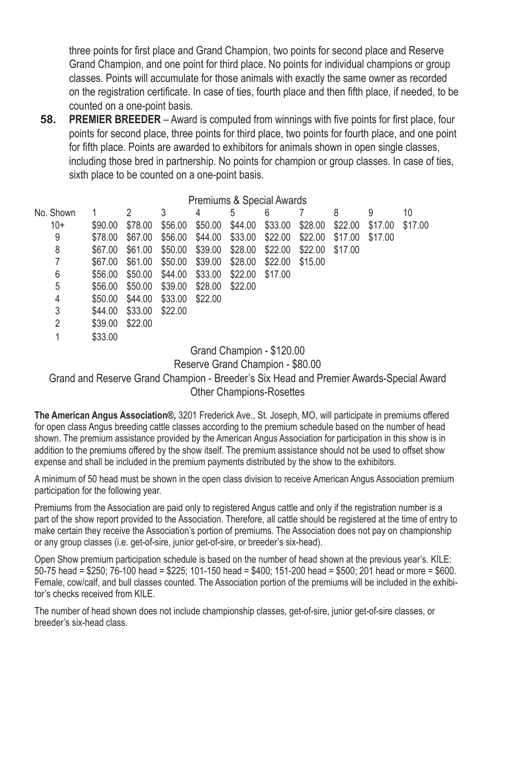three points for first place and Grand Champion, two points for second place and Reserve Grand Champion, and one point for third place. No points for individual champions or group classes. Points will accumulate for those animals with exactly the same owner as recorded on the registration certificate. In case of ties, fourth place and then fifth place, if needed, to be counted on a one-point basis.

**58. PREMIER BREEDER** – Award is computed from winnings with five points for first place, four points for second place, three points for third place, two points for fourth place, and one point for fifth place. Points are awarded to exhibitors for animals shown in open single classes, including those bred in partnership. No points for champion or group classes. In case of ties, sixth place to be counted on a one-point basis.

| Premiums & Special Awards |         |         |         |         |         |         |         |         |         |         |  |  |
|---------------------------|---------|---------|---------|---------|---------|---------|---------|---------|---------|---------|--|--|
| No. Shown                 |         | 2       | 3       | 4       | 5       | 6       |         | 8       | 9       | 10      |  |  |
| $10+$                     | \$90.00 | \$78.00 | \$56.00 | \$50.00 | \$44.00 | \$33.00 | \$28.00 | \$22.00 | \$17.00 | \$17.00 |  |  |
| 9                         | \$78.00 | \$67.00 | \$56.00 | \$44.00 | \$33.00 | \$22.00 | \$22.00 | \$17.00 | \$17.00 |         |  |  |
| 8                         | \$67.00 | \$61.00 | \$50.00 | \$39.00 | \$28.00 | \$22.00 | \$22.00 | \$17.00 |         |         |  |  |
| 7                         | \$67.00 | \$61.00 | \$50.00 | \$39.00 | \$28.00 | \$22.00 | \$15.00 |         |         |         |  |  |
| 6                         | \$56.00 | \$50.00 | \$44.00 | \$33.00 | \$22.00 | \$17.00 |         |         |         |         |  |  |
| 5                         | \$56.00 | \$50.00 | \$39.00 | \$28.00 | \$22.00 |         |         |         |         |         |  |  |
| 4                         | \$50.00 | \$44.00 | \$33.00 | \$22.00 |         |         |         |         |         |         |  |  |
| 3                         | \$44.00 | \$33.00 | \$22.00 |         |         |         |         |         |         |         |  |  |
| 2                         | \$39.00 | \$22.00 |         |         |         |         |         |         |         |         |  |  |
| 1                         | \$33.00 |         |         |         |         |         |         |         |         |         |  |  |

Grand Champion - \$120.00

Reserve Grand Champion - \$80.00

Grand and Reserve Grand Champion - Breeder's Six Head and Premier Awards-Special Award Other Champions-Rosettes

**The American Angus Association®,** 3201 Frederick Ave., St. Joseph, MO, will participate in premiums offered for open class Angus breeding cattle classes according to the premium schedule based on the number of head shown. The premium assistance provided by the American Angus Association for participation in this show is in addition to the premiums offered by the show itself. The premium assistance should not be used to offset show expense and shall be included in the premium payments distributed by the show to the exhibitors.

A minimum of 50 head must be shown in the open class division to receive American Angus Association premium participation for the following year.

Premiums from the Association are paid only to registered Angus cattle and only if the registration number is a part of the show report provided to the Association. Therefore, all cattle should be registered at the time of entry to make certain they receive the Association's portion of premiums. The Association does not pay on championship or any group classes (i.e. get-of-sire, junior get-of-sire, or breeder's six-head).

Open Show premium participation schedule is based on the number of head shown at the previous year's. KILE: 50-75 head = \$250; 76-100 head = \$225; 101-150 head = \$400; 151-200 head = \$500; 201 head or more = \$600. Female, cow/calf, and bull classes counted. The Association portion of the premiums will be included in the exhibitor's checks received from KILE.

The number of head shown does not include championship classes, get-of-sire, junior get-of-sire classes, or breeder's six-head class.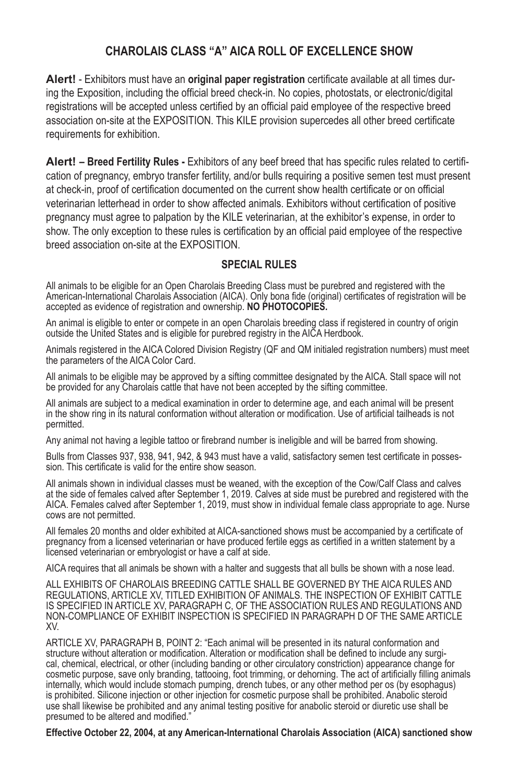## **CHAROLAIS CLASS "A" AICA ROLL OF EXCELLENCE SHOW**

**Alert!** - Exhibitors must have an **original paper registration** certificate available at all times during the Exposition, including the official breed check-in. No copies, photostats, or electronic/digital registrations will be accepted unless certified by an official paid employee of the respective breed association on-site at the EXPOSITION. This KILE provision supercedes all other breed certificate requirements for exhibition.

**Alert! – Breed Fertility Rules -** Exhibitors of any beef breed that has specific rules related to certification of pregnancy, embryo transfer fertility, and/or bulls requiring a positive semen test must present at check-in, proof of certification documented on the current show health certificate or on official veterinarian letterhead in order to show affected animals. Exhibitors without certification of positive pregnancy must agree to palpation by the KILE veterinarian, at the exhibitor's expense, in order to show. The only exception to these rules is certification by an official paid employee of the respective breed association on-site at the EXPOSITION.

### **SPECIAL RULES**

All animals to be eligible for an Open Charolais Breeding Class must be purebred and registered with the American-International Charolais Association (AICA). Only bona fide (original) certificates of registration will be accepted as evidence of registration and ownership. **NO PHOTOCOPIES.**

An animal is eligible to enter or compete in an open Charolais breeding class if registered in country of origin outside the United States and is eligible for purebred registry in the AICA Herdbook.

Animals registered in the AICA Colored Division Registry (QF and QM initialed registration numbers) must meet the parameters of the AICA Color Card.

All animals to be eligible may be approved by a sifting committee designated by the AICA. Stall space will not be provided for any Charolais cattle that have not been accepted by the sifting committee.

All animals are subject to a medical examination in order to determine age, and each animal will be present in the show ring in its natural conformation without alteration or modification. Use of artificial tailheads is not permitted.

Any animal not having a legible tattoo or firebrand number is ineligible and will be barred from showing.

Bulls from Classes 937, 938, 941, 942, & 943 must have a valid, satisfactory semen test certificate in posses-<br>sion. This certificate is valid for the entire show season.

All animals shown in individual classes must be weaned, with the exception of the Cow/Calf Class and calves at the side of females calved after September 1, 2019. Calves at side must be purebred and registered with the AICA. Females calved after September 1, 2019, must show in individual female class appropriate to age. Nurse cows are not permitted.

All females 20 months and older exhibited at AICA-sanctioned shows must be accompanied by a certificate of pregnancy from a licensed veterinarian or have produced fertile eggs as certified in a written statement by a licensed veterinarian or embryologist or have a calf at side.

AICA requires that all animals be shown with a halter and suggests that all bulls be shown with a nose lead.

ALL EXHIBITS OF CHAROLAIS BREEDING CATTLE SHALL BE GOVERNED BY THE AICA RULES AND REGULATIONS, ARTICLE XV, TITLED EXHIBITION OF ANIMALS. THE INSPECTION OF EXHIBIT CATTLE IS SPECIFIED IN ARTICLE XV, PARAGRAPH C, OF THE ASSOCIATION RULES AND REGULATIONS AND NON-COMPLIANCE OF EXHIBIT INSPECTION IS SPECIFIED IN PARAGRAPH D OF THE SAME ARTICLE XV.

ARTICLE XV, PARAGRAPH B, POINT 2: "Each animal will be presented in its natural conformation and structure without alteration or modification. Alteration or modification shall be defined to include any surgical, chemical, electrical, or other (including banding or other circulatory constriction) appearance change for cosmetic purpose, save only branding, tattooing, foot trimming, or dehorning. The act of artificially filling animals internally, which would include stomach pumping, drench tubes, or any other method per os (by esophagus) is prohibited. Silicone injection or other injection for cosmetic purpose shall be prohibited. Anabolic steroid use shall likewise be prohibited and any animal testing positive for anabolic steroid or diuretic use shall be presumed to be altered and modified."

**Effective October 22, 2004, at any American-International Charolais Association (AICA) sanctioned show**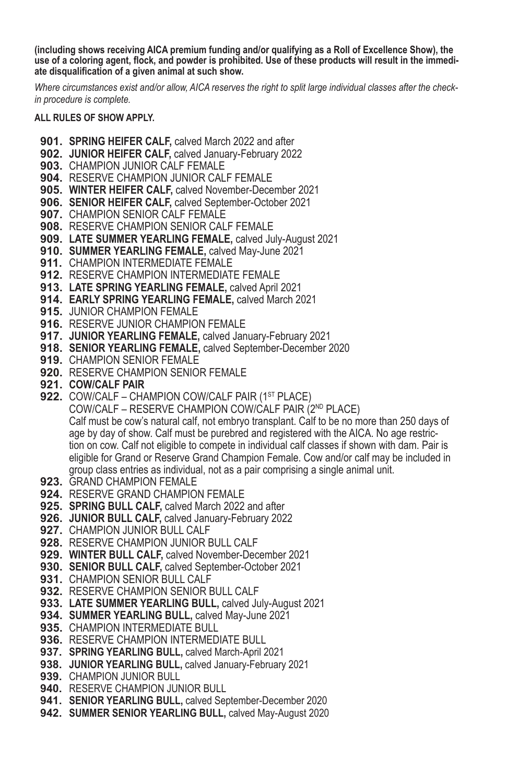**(including shows receiving AICA premium funding and/or qualifying as a Roll of Excellence Show), the use of a coloring agent, flock, and powder is prohibited. Use of these products will result in the immediate disqualification of a given animal at such show.**

*Where circumstances exist and/or allow, AICA reserves the right to split large individual classes after the checkin procedure is complete.*

#### **ALL RULES OF SHOW APPLY.**

- **901. SPRING HEIFER CALF,** calved March 2022 and after
- **902. JUNIOR HEIFER CALF,** calved January-February 2022
- **903.** CHAMPION JUNIOR CALF FEMALE
- **904.** RESERVE CHAMPION JUNIOR CALF FEMALE
- **905. WINTER HEIFER CALF,** calved November-December 2021
- **906. SENIOR HEIFER CALF,** calved September-October 2021
- **907.** CHAMPION SENIOR CALF FEMALE
- **908.** RESERVE CHAMPION SENIOR CALF FEMALE
- **909. LATE SUMMER YEARLING FEMALE,** calved July-August 2021
- **910. SUMMER YEARLING FEMALE,** calved May-June 2021
- **911.** CHAMPION INTERMEDIATE FEMALE
- **912.** RESERVE CHAMPION INTERMEDIATE FEMALE
- **913. LATE SPRING YEARLING FEMALE,** calved April 2021
- **914. EARLY SPRING YEARLING FEMALE,** calved March 2021
- **915.** JUNIOR CHAMPION FEMALE
- **916.** RESERVE JUNIOR CHAMPION FEMALE
- **917. JUNIOR YEARLING FEMALE,** calved January-February 2021
- **918. SENIOR YEARLING FEMALE,** calved September-December 2020
- **919.** CHAMPION SENIOR FEMALE
- **920.** RESERVE CHAMPION SENIOR FEMALE
- **921. COW/CALF PAIR**
- **922.** COW/CALF CHAMPION COW/CALF PAIR (1<sup>ST</sup> PLACE) COW/CALF – RESERVE CHAMPION COW/CALF PAIR (2ND PLACE)
	- Calf must be cow's natural calf, not embryo transplant. Calf to be no more than 250 days of age by day of show. Calf must be purebred and registered with the AICA. No age restriction on cow. Calf not eligible to compete in individual calf classes if shown with dam. Pair is eligible for Grand or Reserve Grand Champion Female. Cow and/or calf may be included in group class entries as individual, not as a pair comprising a single animal unit.
- **923.** GRAND CHAMPION FEMALE
- **924.** RESERVE GRAND CHAMPION FEMALE
- **925. SPRING BULL CALF,** calved March 2022 and after
- **926. JUNIOR BULL CALF,** calved January-February 2022
- **927.** CHAMPION JUNIOR BULL CALF
- **928.** RESERVE CHAMPION JUNIOR BULL CALF
- **929. WINTER BULL CALF,** calved November-December 2021
- **930. SENIOR BULL CALF,** calved September-October 2021
- **931.** CHAMPION SENIOR BULL CALF
- **932.** RESERVE CHAMPION SENIOR BULL CALF
- **933. LATE SUMMER YEARLING BULL,** calved July-August 2021
- **934. SUMMER YEARLING BULL,** calved May-June 2021
- **935.** CHAMPION INTERMEDIATE BULL
- **936.** RESERVE CHAMPION INTERMEDIATE BULL
- **937. SPRING YEARLING BULL,** calved March-April 2021
- **938. JUNIOR YEARLING BULL,** calved January-February 2021
- **939.** CHAMPION JUNIOR BULL
- **940.** RESERVE CHAMPION JUNIOR BULL
- **941. SENIOR YEARLING BULL,** calved September-December 2020
- **942. SUMMER SENIOR YEARLING BULL,** calved May-August 2020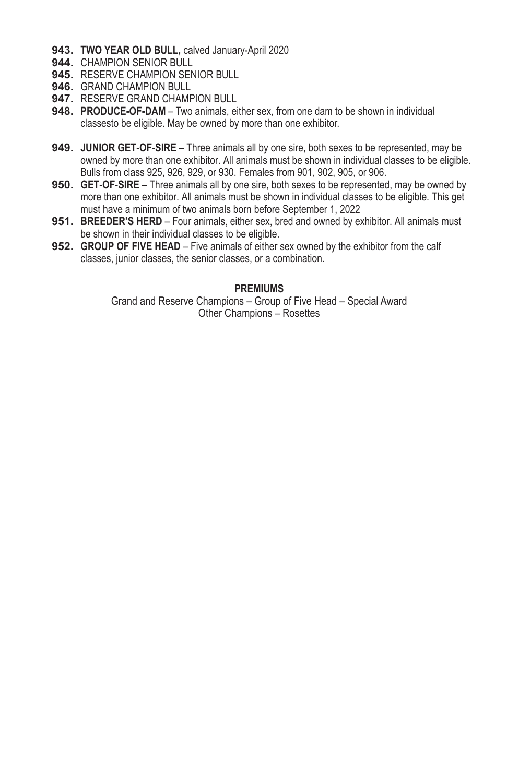- **943. TWO YEAR OLD BULL,** calved January-April 2020
- **944.** CHAMPION SENIOR BULL
- **945.** RESERVE CHAMPION SENIOR BULL
- **946.** GRAND CHAMPION BULL
- **947.** RESERVE GRAND CHAMPION BULL
- **948. PRODUCE-OF-DAM** Two animals, either sex, from one dam to be shown in individual classesto be eligible. May be owned by more than one exhibitor.
- **949. JUNIOR GET-OF-SIRE** Three animals all by one sire, both sexes to be represented, may be owned by more than one exhibitor. All animals must be shown in individual classes to be eligible. Bulls from class 925, 926, 929, or 930. Females from 901, 902, 905, or 906.
- **950. GET-OF-SIRE** Three animals all by one sire, both sexes to be represented, may be owned by more than one exhibitor. All animals must be shown in individual classes to be eligible. This get must have a minimum of two animals born before September 1, 2022
- **951. BREEDER'S HERD** Four animals, either sex, bred and owned by exhibitor. All animals must be shown in their individual classes to be eligible.
- **952. GROUP OF FIVE HEAD** Five animals of either sex owned by the exhibitor from the calf classes, junior classes, the senior classes, or a combination.

#### **PREMIUMS**

Grand and Reserve Champions – Group of Five Head – Special Award Other Champions – Rosettes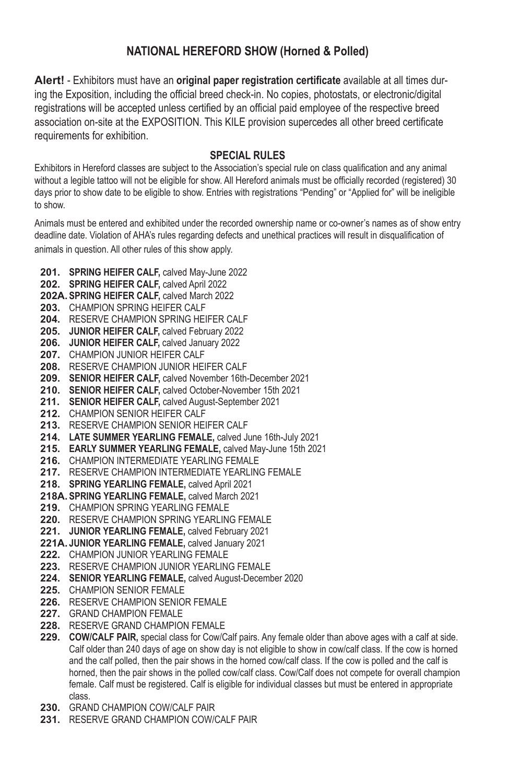# **NATIONAL HEREFORD SHOW (Horned & Polled)**

**Alert!** - Exhibitors must have an **original paper registration certificate** available at all times during the Exposition, including the official breed check-in. No copies, photostats, or electronic/digital registrations will be accepted unless certified by an official paid employee of the respective breed association on-site at the EXPOSITION. This KILE provision supercedes all other breed certificate requirements for exhibition.

### **SPECIAL RULES**

Exhibitors in Hereford classes are subject to the Association's special rule on class qualification and any animal without a legible tattoo will not be eligible for show. All Hereford animals must be officially recorded (registered) 30 days prior to show date to be eligible to show. Entries with registrations "Pending" or "Applied for" will be ineligible to show.

Animals must be entered and exhibited under the recorded ownership name or co-owner's names as of show entry deadline date. Violation of AHA's rules regarding defects and unethical practices will result in disqualification of animals in question. All other rules of this show apply.

- **201. SPRING HEIFER CALF,** calved May-June 2022
- **202. SPRING HEIFER CALF,** calved April 2022
- **202A. SPRING HEIFER CALF,** calved March 2022
- **203.** CHAMPION SPRING HEIFER CALF
- **204.** RESERVE CHAMPION SPRING HEIFER CALF
- **205. JUNIOR HEIFER CALF,** calved February 2022
- **206. JUNIOR HEIFER CALF,** calved January 2022
- **207.** CHAMPION JUNIOR HEIFER CALF
- **208.** RESERVE CHAMPION JUNIOR HEIFER CALF
- **209. SENIOR HEIFER CALF,** calved November 16th-December 2021
- **210. SENIOR HEIFER CALF,** calved October-November 15th 2021
- **211. SENIOR HEIFER CALF,** calved August-September 2021
- **212.** CHAMPION SENIOR HEIFER CALF
- **213.** RESERVE CHAMPION SENIOR HEIFER CALF
- **214. LATE SUMMER YEARLING FEMALE,** calved June 16th-July 2021
- **215. EARLY SUMMER YEARLING FEMALE,** calved May-June 15th 2021
- **216.** CHAMPION INTERMEDIATE YEARLING FEMALE
- **217.** RESERVE CHAMPION INTERMEDIATE YEARLING FEMALE
- **218. SPRING YEARLING FEMALE,** calved April 2021
- **218A. SPRING YEARLING FEMALE,** calved March 2021
- **219.** CHAMPION SPRING YEARLING FEMALE
- **220.** RESERVE CHAMPION SPRING YEARLING FEMALE
- **221. JUNIOR YEARLING FEMALE,** calved February 2021
- **221A. JUNIOR YEARLING FEMALE,** calved January 2021
- **222.** CHAMPION JUNIOR YEARLING FEMALE
- **223.** RESERVE CHAMPION JUNIOR YEARLING FEMALE
- **224. SENIOR YEARLING FEMALE,** calved August-December 2020
- **225.** CHAMPION SENIOR FEMALE
- **226.** RESERVE CHAMPION SENIOR FEMALE
- **227.** GRAND CHAMPION FEMALE
- **228.** RESERVE GRAND CHAMPION FEMALE
- **229. COW/CALF PAIR,** special class for Cow/Calf pairs. Any female older than above ages with a calf at side. Calf older than 240 days of age on show day is not eligible to show in cow/calf class. If the cow is horned and the calf polled, then the pair shows in the horned cow/calf class. If the cow is polled and the calf is horned, then the pair shows in the polled cow/calf class. Cow/Calf does not compete for overall champion female. Calf must be registered. Calf is eligible for individual classes but must be entered in appropriate class.
- **230.** GRAND CHAMPION COW/CALF PAIR
- **231.** RESERVE GRAND CHAMPION COW/CALF PAIR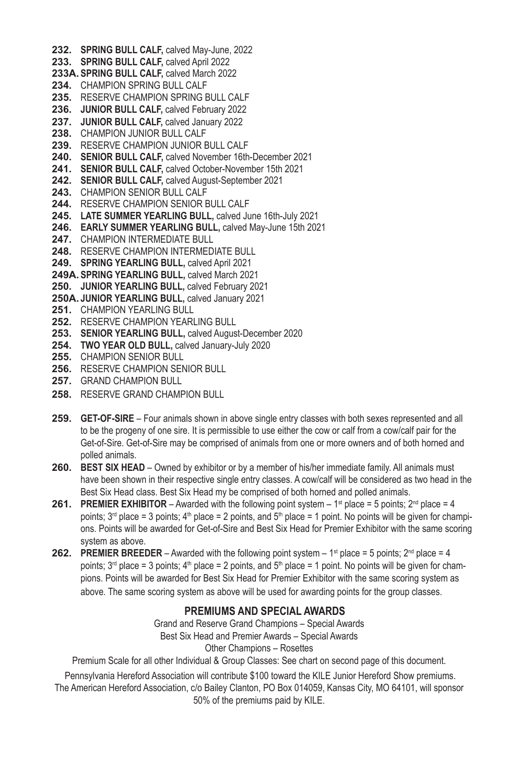- **232. SPRING BULL CALF,** calved May-June, 2022
- **233. SPRING BULL CALF,** calved April 2022
- **233A. SPRING BULL CALF,** calved March 2022
- **234.** CHAMPION SPRING BULL CALF
- **235.** RESERVE CHAMPION SPRING BULL CALF
- **236. JUNIOR BULL CALF,** calved February 2022
- **237. JUNIOR BULL CALF,** calved January 2022
- 238. CHAMPION JUNIOR BULL CALF
- **239.** RESERVE CHAMPION JUNIOR BULL CALF
- **240. SENIOR BULL CALF,** calved November 16th‑December 2021
- **241. SENIOR BULL CALF,** calved October-November 15th 2021
- **242. SENIOR BULL CALF,** calved August-September 2021
- **243.** CHAMPION SENIOR BULL CALF
- **244.** RESERVE CHAMPION SENIOR BULL CALF
- **245. LATE SUMMER YEARLING BULL,** calved June 16th-July 2021
- **246. EARLY SUMMER YEARLING BULL,** calved May-June 15th 2021
- **247.** CHAMPION INTERMEDIATE BULL
- **248.** RESERVE CHAMPION INTERMEDIATE BULL
- **249. SPRING YEARLING BULL,** calved April 2021
- **249A. SPRING YEARLING BULL,** calved March 2021
- **250. JUNIOR YEARLING BULL,** calved February 2021
- **250A. JUNIOR YEARLING BULL,** calved January 2021
- **251.** CHAMPION YEARLING BULL
- **252.** RESERVE CHAMPION YEARLING BULL
- **253. SENIOR YEARLING BULL,** calved August-December 2020
- **254. TWO YEAR OLD BULL,** calved January-July 2020
- **255.** CHAMPION SENIOR BULL
- 256. RESERVE CHAMPION SENIOR BULL
- **257.** GRAND CHAMPION BULL
- **258.** RESERVE GRAND CHAMPION BULL
- **259. GET-OF-SIRE** Four animals shown in above single entry classes with both sexes represented and all to be the progeny of one sire. It is permissible to use either the cow or calf from a cow/calf pair for the Get-of-Sire. Get-of-Sire may be comprised of animals from one or more owners and of both horned and polled animals.
- **260. BEST SIX HEAD** Owned by exhibitor or by a member of his/her immediate family. All animals must have been shown in their respective single entry classes. A cow/calf will be considered as two head in the Best Six Head class. Best Six Head my be comprised of both horned and polled animals.
- **261. PREMIER EXHIBITOR** Awarded with the following point system 1<sup>st</sup> place = 5 points;  $2<sup>nd</sup>$  place = 4 points;  $3<sup>rd</sup>$  place = 3 points;  $4<sup>th</sup>$  place = 2 points, and  $5<sup>th</sup>$  place = 1 point. No points will be given for champions. Points will be awarded for Get-of-Sire and Best Six Head for Premier Exhibitor with the same scoring system as above.
- **262. PREMIER BREEDER** Awarded with the following point system 1<sup>st</sup> place = 5 points;  $2^{nd}$  place = 4 points;  $3<sup>rd</sup>$  place = 3 points;  $4<sup>th</sup>$  place = 2 points, and  $5<sup>th</sup>$  place = 1 point. No points will be given for champions. Points will be awarded for Best Six Head for Premier Exhibitor with the same scoring system as above. The same scoring system as above will be used for awarding points for the group classes.

#### **PREMIUMS AND SPECIAL AWARDS**

Grand and Reserve Grand Champions – Special Awards Best Six Head and Premier Awards – Special Awards Other Champions – Rosettes

Premium Scale for all other Individual & Group Classes: See chart on second page of this document.

Pennsylvania Hereford Association will contribute \$100 toward the KILE Junior Hereford Show premiums. The American Hereford Association, c/o Bailey Clanton, PO Box 014059, Kansas City, MO 64101, will sponsor 50% of the premiums paid by KILE.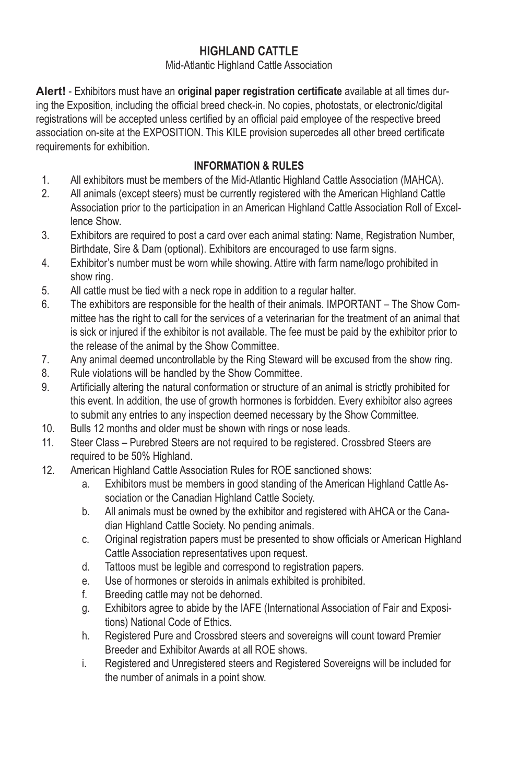# **HIGHLAND CATTLE**

### Mid-Atlantic Highland Cattle Association

**Alert!** - Exhibitors must have an **original paper registration certificate** available at all times during the Exposition, including the official breed check-in. No copies, photostats, or electronic/digital registrations will be accepted unless certified by an official paid employee of the respective breed association on-site at the EXPOSITION. This KILE provision supercedes all other breed certificate requirements for exhibition.

## **INFORMATION & RULES**

- 1. All exhibitors must be members of the Mid-Atlantic Highland Cattle Association (MAHCA).
- All animals (except steers) must be currently registered with the American Highland Cattle Association prior to the participation in an American Highland Cattle Association Roll of Excellence Show.
- 3. Exhibitors are required to post a card over each animal stating: Name, Registration Number, Birthdate, Sire & Dam (optional). Exhibitors are encouraged to use farm signs.
- 4. Exhibitor's number must be worn while showing. Attire with farm name/logo prohibited in show ring.
- 5. All cattle must be tied with a neck rope in addition to a regular halter.
- 6. The exhibitors are responsible for the health of their animals. IMPORTANT The Show Committee has the right to call for the services of a veterinarian for the treatment of an animal that is sick or injured if the exhibitor is not available. The fee must be paid by the exhibitor prior to the release of the animal by the Show Committee.
- 7. Any animal deemed uncontrollable by the Ring Steward will be excused from the show ring.
- 8. Rule violations will be handled by the Show Committee.
- 9. Artificially altering the natural conformation or structure of an animal is strictly prohibited for this event. In addition, the use of growth hormones is forbidden. Every exhibitor also agrees to submit any entries to any inspection deemed necessary by the Show Committee.
- 10. Bulls 12 months and older must be shown with rings or nose leads.
- 11. Steer Class Purebred Steers are not required to be registered. Crossbred Steers are required to be 50% Highland.
- 12. American Highland Cattle Association Rules for ROE sanctioned shows:
	- a. Exhibitors must be members in good standing of the American Highland Cattle Association or the Canadian Highland Cattle Society.
	- b. All animals must be owned by the exhibitor and registered with AHCA or the Canadian Highland Cattle Society. No pending animals.
	- c. Original registration papers must be presented to show officials or American Highland Cattle Association representatives upon request.
	- d. Tattoos must be legible and correspond to registration papers.
	- e. Use of hormones or steroids in animals exhibited is prohibited.
	- f. Breeding cattle may not be dehorned.
	- g. Exhibitors agree to abide by the IAFE (International Association of Fair and Expositions) National Code of Ethics.
	- h. Registered Pure and Crossbred steers and sovereigns will count toward Premier Breeder and Exhibitor Awards at all ROE shows.
	- i. Registered and Unregistered steers and Registered Sovereigns will be included for the number of animals in a point show.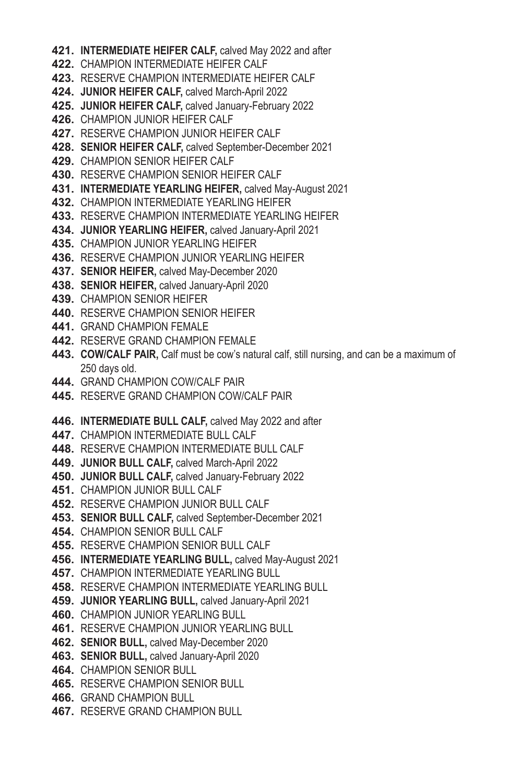- **421. INTERMEDIATE HEIFER CALF,** calved May 2022 and after
- **422.** CHAMPION INTERMEDIATE HEIFER CALF
- **423.** RESERVE CHAMPION INTERMEDIATE HEIFER CALF
- **424. JUNIOR HEIFER CALF,** calved March-April 2022
- **425. JUNIOR HEIFER CALF,** calved January-February 2022
- **426.** CHAMPION JUNIOR HEIFER CALF
- **427.** RESERVE CHAMPION JUNIOR HEIFER CALF
- **428. SENIOR HEIFER CALF,** calved September-December 2021
- **429.** CHAMPION SENIOR HEIFER CALF
- **430.** RESERVE CHAMPION SENIOR HEIFER CALF
- **431. INTERMEDIATE YEARLING HEIFER,** calved May-August 2021
- **432.** CHAMPION INTERMEDIATE YEARLING HEIFER
- **433.** RESERVE CHAMPION INTERMEDIATE YEARLING HEIFER
- **434. JUNIOR YEARLING HEIFER,** calved January-April 2021
- **435.** CHAMPION JUNIOR YEARLING HEIFER
- **436.** RESERVE CHAMPION JUNIOR YEARLING HEIFER
- **437. SENIOR HEIFER,** calved May-December 2020
- **438. SENIOR HEIFER,** calved January-April 2020
- **439.** CHAMPION SENIOR HEIFER
- **440.** RESERVE CHAMPION SENIOR HEIFER
- **441.** GRAND CHAMPION FEMALE
- **442.** RESERVE GRAND CHAMPION FEMALE
- **443. COW/CALF PAIR,** Calf must be cow's natural calf, still nursing, and can be a maximum of 250 days old.
- **444.** GRAND CHAMPION COW/CALF PAIR
- **445.** RESERVE GRAND CHAMPION COW/CALF PAIR
- **446. INTERMEDIATE BULL CALF,** calved May 2022 and after
- **447.** CHAMPION INTERMEDIATE BULL CALF
- **448.** RESERVE CHAMPION INTERMEDIATE BULL CALF
- **449. JUNIOR BULL CALF,** calved March-April 2022
- **450. JUNIOR BULL CALF,** calved January-February 2022
- **451.** CHAMPION JUNIOR BULL CALF
- **452.** RESERVE CHAMPION JUNIOR BULL CALF
- **453. SENIOR BULL CALF,** calved September-December 2021
- **454.** CHAMPION SENIOR BULL CALF
- **455.** RESERVE CHAMPION SENIOR BULL CALF
- **456. INTERMEDIATE YEARLING BULL,** calved May-August 2021
- **457.** CHAMPION INTERMEDIATE YEARLING BULL
- **458.** RESERVE CHAMPION INTERMEDIATE YEARLING BULL
- **459. JUNIOR YEARLING BULL,** calved January-April 2021
- **460.** CHAMPION JUNIOR YEARLING BULL
- **461.** RESERVE CHAMPION JUNIOR YEARLING BULL
- **462. SENIOR BULL,** calved May-December 2020
- **463. SENIOR BULL,** calved January-April 2020
- **464.** CHAMPION SENIOR BULL
- **465.** RESERVE CHAMPION SENIOR BULL
- **466.** GRAND CHAMPION BULL
- **467.** RESERVE GRAND CHAMPION BULL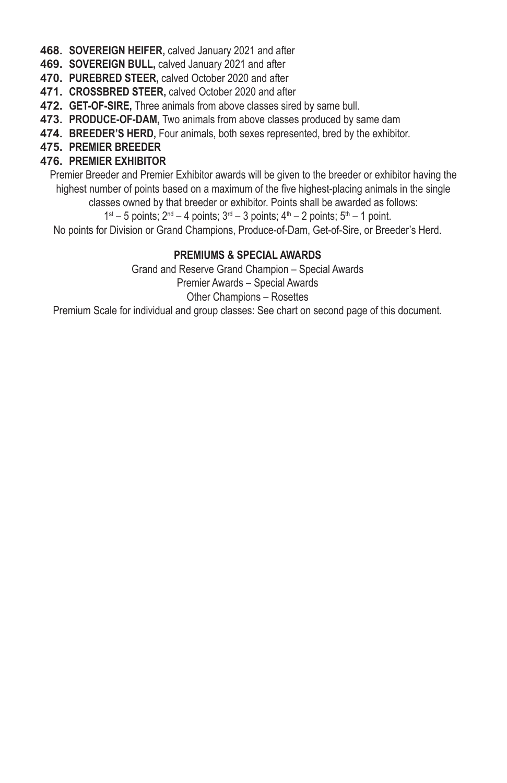- **468. SOVEREIGN HEIFER,** calved January 2021 and after
- **469. SOVEREIGN BULL,** calved January 2021 and after
- **470. PUREBRED STEER,** calved October 2020 and after
- **471. CROSSBRED STEER,** calved October 2020 and after
- **472. GET-OF-SIRE,** Three animals from above classes sired by same bull.
- **473. PRODUCE-OF-DAM,** Two animals from above classes produced by same dam
- **474. BREEDER'S HERD,** Four animals, both sexes represented, bred by the exhibitor.
- **475. PREMIER BREEDER**

### **476. PREMIER EXHIBITOR**

Premier Breeder and Premier Exhibitor awards will be given to the breeder or exhibitor having the highest number of points based on a maximum of the five highest-placing animals in the single classes owned by that breeder or exhibitor. Points shall be awarded as follows:

 $1<sup>st</sup> - 5$  points;  $2<sup>nd</sup> - 4$  points;  $3<sup>rd</sup> - 3$  points;  $4<sup>th</sup> - 2$  points;  $5<sup>th</sup> - 1$  point.

No points for Division or Grand Champions, Produce-of-Dam, Get-of-Sire, or Breeder's Herd.

### **PREMIUMS & SPECIAL AWARDS**

Grand and Reserve Grand Champion – Special Awards

Premier Awards – Special Awards

Other Champions – Rosettes

Premium Scale for individual and group classes: See chart on second page of this document.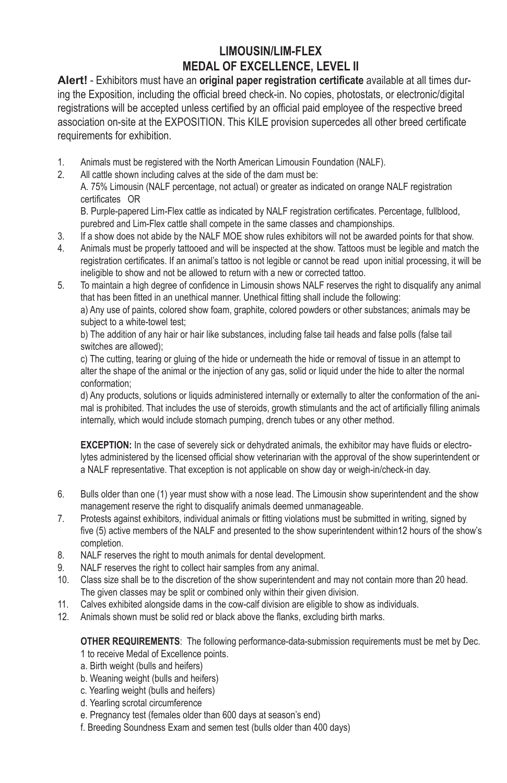# **LIMOUSIN/LIM-FLEX MEDAL OF EXCELLENCE, LEVEL II**

**Alert!** - Exhibitors must have an **original paper registration certificate** available at all times during the Exposition, including the official breed check-in. No copies, photostats, or electronic/digital registrations will be accepted unless certified by an official paid employee of the respective breed association on-site at the EXPOSITION. This KILE provision supercedes all other breed certificate requirements for exhibition.

- 1. Animals must be registered with the North American Limousin Foundation (NALF).
- 2. All cattle shown including calves at the side of the dam must be:

A. 75% Limousin (NALF percentage, not actual) or greater as indicated on orange NALF registration certificates OR

B. Purple-papered Lim-Flex cattle as indicated by NALF registration certificates. Percentage, fullblood, purebred and Lim-Flex cattle shall compete in the same classes and championships.

- 3. If a show does not abide by the NALF MOE show rules exhibitors will not be awarded points for that show.
- 4. Animals must be properly tattooed and will be inspected at the show. Tattoos must be legible and match the registration certificates. If an animal's tattoo is not legible or cannot be read upon initial processing, it will be ineligible to show and not be allowed to return with a new or corrected tattoo.
- 5. To maintain a high degree of confidence in Limousin shows NALF reserves the right to disqualify any animal that has been fitted in an unethical manner. Unethical fitting shall include the following:

a) Any use of paints, colored show foam, graphite, colored powders or other substances; animals may be subject to a white-towel test;

b) The addition of any hair or hair like substances, including false tail heads and false polls (false tail switches are allowed);

c) The cutting, tearing or gluing of the hide or underneath the hide or removal of tissue in an attempt to alter the shape of the animal or the injection of any gas, solid or liquid under the hide to alter the normal conformation;

d) Any products, solutions or liquids administered internally or externally to alter the conformation of the animal is prohibited. That includes the use of steroids, growth stimulants and the act of artificially filling animals internally, which would include stomach pumping, drench tubes or any other method.

**EXCEPTION:** In the case of severely sick or dehydrated animals, the exhibitor may have fluids or electrolytes administered by the licensed official show veterinarian with the approval of the show superintendent or a NALF representative. That exception is not applicable on show day or weigh-in/check-in day.

- 6. Bulls older than one (1) year must show with a nose lead. The Limousin show superintendent and the show management reserve the right to disqualify animals deemed unmanageable.
- 7. Protests against exhibitors, individual animals or fitting violations must be submitted in writing, signed by five (5) active members of the NALF and presented to the show superintendent within12 hours of the show's completion.
- 8. NALF reserves the right to mouth animals for dental development.
- 9. NALF reserves the right to collect hair samples from any animal.
- 10. Class size shall be to the discretion of the show superintendent and may not contain more than 20 head. The given classes may be split or combined only within their given division.
- 11. Calves exhibited alongside dams in the cow-calf division are eligible to show as individuals.
- 12. Animals shown must be solid red or black above the flanks, excluding birth marks.

**OTHER REQUIREMENTS**: The following performance-data-submission requirements must be met by Dec. 1 to receive Medal of Excellence points.

- a. Birth weight (bulls and heifers)
- b. Weaning weight (bulls and heifers)
- c. Yearling weight (bulls and heifers)
- d. Yearling scrotal circumference
- e. Pregnancy test (females older than 600 days at season's end)
- f. Breeding Soundness Exam and semen test (bulls older than 400 days)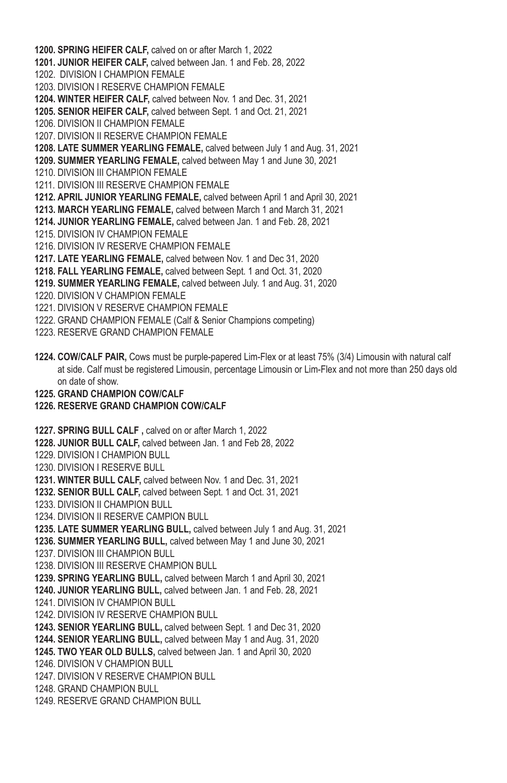**1200. SPRING HEIFER CALF,** calved on or after March 1, 2022 **1201. JUNIOR HEIFER CALF,** calved between Jan. 1 and Feb. 28, 2022 1202. DIVISION I CHAMPION FEMALE 1203. DIVISION I RESERVE CHAMPION FEMALE **1204. WINTER HEIFER CALF,** calved between Nov. 1 and Dec. 31, 2021 **1205. SENIOR HEIFER CALF,** calved between Sept. 1 and Oct. 21, 2021 1206. DIVISION II CHAMPION FEMALE 1207. DIVISION II RESERVE CHAMPION FEMALE **1208. LATE SUMMER YEARLING FEMALE,** calved between July 1 and Aug. 31, 2021 **1209. SUMMER YEARLING FEMALE,** calved between May 1 and June 30, 2021 1210. DIVISION III CHAMPION FEMALE 1211. DIVISION III RESERVE CHAMPION FEMALE **1212. APRIL JUNIOR YEARLING FEMALE,** calved between April 1 and April 30, 2021 **1213. MARCH YEARLING FEMALE,** calved between March 1 and March 31, 2021 **1214. JUNIOR YEARLING FEMALE,** calved between Jan. 1 and Feb. 28, 2021

1215. DIVISION IV CHAMPION FEMALE

1216. DIVISION IV RESERVE CHAMPION FEMALE

**1217. LATE YEARLING FEMALE,** calved between Nov. 1 and Dec 31, 2020

**1218. FALL YEARLING FEMALE,** calved between Sept. 1 and Oct. 31, 2020

**1219. SUMMER YEARLING FEMALE,** calved between July. 1 and Aug. 31, 2020

1220. DIVISION V CHAMPION FEMALE

1221. DIVISION V RESERVE CHAMPION FEMALE

1222. GRAND CHAMPION FEMALE (Calf & Senior Champions competing)

1223. RESERVE GRAND CHAMPION FEMALE

**1224. COW/CALF PAIR,** Cows must be purple-papered Lim-Flex or at least 75% (3/4) Limousin with natural calf at side. Calf must be registered Limousin, percentage Limousin or Lim-Flex and not more than 250 days old on date of show.

**1225. GRAND CHAMPION COW/CALF**

**1226. RESERVE GRAND CHAMPION COW/CALF**

**1227. SPRING BULL CALF ,** calved on or after March 1, 2022

**1228. JUNIOR BULL CALF,** calved between Jan. 1 and Feb 28, 2022

1229. DIVISION I CHAMPION BULL

1230. DIVISION I RESERVE BULL

**1231. WINTER BULL CALF,** calved between Nov. 1 and Dec. 31, 2021

**1232. SENIOR BULL CALF,** calved between Sept. 1 and Oct. 31, 2021

1233. DIVISION II CHAMPION BULL

1234. DIVISION II RESERVE CAMPION BULL

**1235. LATE SUMMER YEARLING BULL,** calved between July 1 and Aug. 31, 2021

**1236. SUMMER YEARLING BULL,** calved between May 1 and June 30, 2021

1237. DIVISION III CHAMPION BULL

1238. DIVISION III RESERVE CHAMPION BULL

**1239. SPRING YEARLING BULL,** calved between March 1 and April 30, 2021

**1240. JUNIOR YEARLING BULL,** calved between Jan. 1 and Feb. 28, 2021

1241. DIVISION IV CHAMPION BULL

1242. DIVISION IV RESERVE CHAMPION BULL

**1243. SENIOR YEARLING BULL,** calved between Sept. 1 and Dec 31, 2020

**1244. SENIOR YEARLING BULL,** calved between May 1 and Aug. 31, 2020

**1245. TWO YEAR OLD BULLS,** calved between Jan. 1 and April 30, 2020

1246. DIVISION V CHAMPION BULL

1247. DIVISION V RESERVE CHAMPION BULL

1248. GRAND CHAMPION BULL

1249. RESERVE GRAND CHAMPION BULL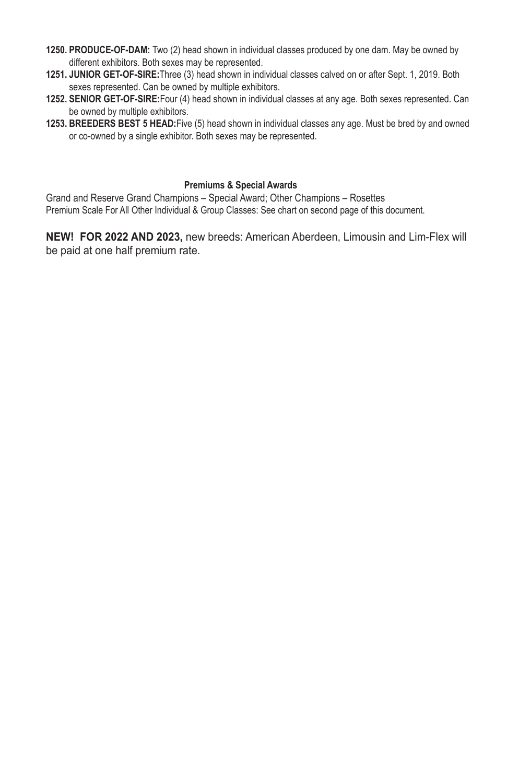- **1250. PRODUCE-OF-DAM:** Two (2) head shown in individual classes produced by one dam. May be owned by different exhibitors. Both sexes may be represented.
- **1251. JUNIOR GET-OF-SIRE:**Three (3) head shown in individual classes calved on or after Sept. 1, 2019. Both sexes represented. Can be owned by multiple exhibitors.
- **1252. SENIOR GET-OF-SIRE:**Four (4) head shown in individual classes at any age. Both sexes represented. Can be owned by multiple exhibitors.
- **1253. BREEDERS BEST 5 HEAD:**Five (5) head shown in individual classes any age. Must be bred by and owned or co-owned by a single exhibitor. Both sexes may be represented.

#### **Premiums & Special Awards**

Grand and Reserve Grand Champions – Special Award; Other Champions – Rosettes Premium Scale For All Other Individual & Group Classes: See chart on second page of this document.

**NEW! FOR 2022 AND 2023,** new breeds: American Aberdeen, Limousin and Lim-Flex will be paid at one half premium rate.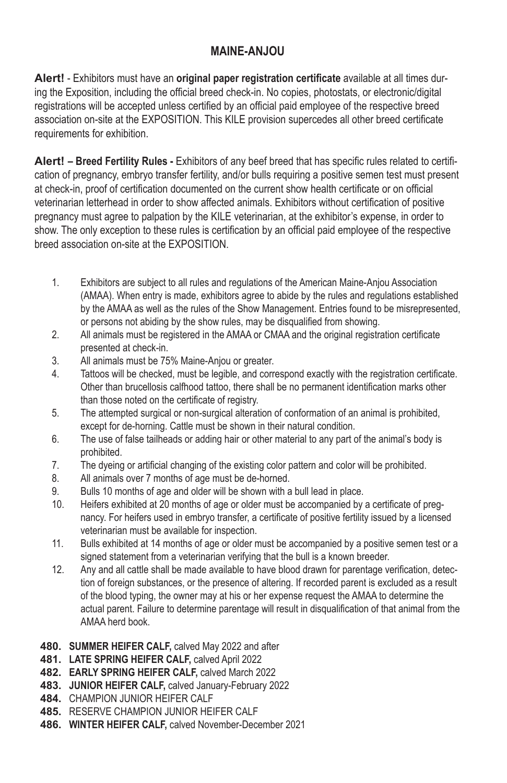## **MAINE-ANJOU**

**Alert!** - Exhibitors must have an **original paper registration certificate** available at all times during the Exposition, including the official breed check-in. No copies, photostats, or electronic/digital registrations will be accepted unless certified by an official paid employee of the respective breed association on-site at the EXPOSITION. This KILE provision supercedes all other breed certificate requirements for exhibition.

**Alert! – Breed Fertility Rules -** Exhibitors of any beef breed that has specific rules related to certification of pregnancy, embryo transfer fertility, and/or bulls requiring a positive semen test must present at check-in, proof of certification documented on the current show health certificate or on official veterinarian letterhead in order to show affected animals. Exhibitors without certification of positive pregnancy must agree to palpation by the KILE veterinarian, at the exhibitor's expense, in order to show. The only exception to these rules is certification by an official paid employee of the respective breed association on-site at the EXPOSITION.

- 1. Exhibitors are subject to all rules and regulations of the American Maine-Anjou Association (AMAA). When entry is made, exhibitors agree to abide by the rules and regulations established by the AMAA as well as the rules of the Show Management. Entries found to be misrepresented, or persons not abiding by the show rules, may be disqualified from showing.
- 2. All animals must be registered in the AMAA or CMAA and the original registration certificate presented at check-in.
- 3. All animals must be 75% Maine-Anjou or greater.
- 4. Tattoos will be checked, must be legible, and correspond exactly with the registration certificate. Other than brucellosis calfhood tattoo, there shall be no permanent identification marks other than those noted on the certificate of registry.
- 5. The attempted surgical or non-surgical alteration of conformation of an animal is prohibited, except for de-horning. Cattle must be shown in their natural condition.
- 6. The use of false tailheads or adding hair or other material to any part of the animal's body is prohibited.
- 7. The dyeing or artificial changing of the existing color pattern and color will be prohibited.
- 8. All animals over 7 months of age must be de-horned.
- 9. Bulls 10 months of age and older will be shown with a bull lead in place.
- 10. Heifers exhibited at 20 months of age or older must be accompanied by a certificate of pregnancy. For heifers used in embryo transfer, a certificate of positive fertility issued by a licensed veterinarian must be available for inspection.
- 11. Bulls exhibited at 14 months of age or older must be accompanied by a positive semen test or a signed statement from a veterinarian verifying that the bull is a known breeder.
- 12. Any and all cattle shall be made available to have blood drawn for parentage verification, detection of foreign substances, or the presence of altering. If recorded parent is excluded as a result of the blood typing, the owner may at his or her expense request the AMAA to determine the actual parent. Failure to determine parentage will result in disqualification of that animal from the AMAA herd book.
- **480. SUMMER HEIFER CALF,** calved May 2022 and after
- **481. LATE SPRING HEIFER CALF,** calved April 2022
- **482. EARLY SPRING HEIFER CALF,** calved March 2022
- **483. JUNIOR HEIFER CALF,** calved January-February 2022
- **484.** CHAMPION JUNIOR HEIFER CALF
- **485.** RESERVE CHAMPION JUNIOR HEIFER CALF
- **486. WINTER HEIFER CALF,** calved November-December 2021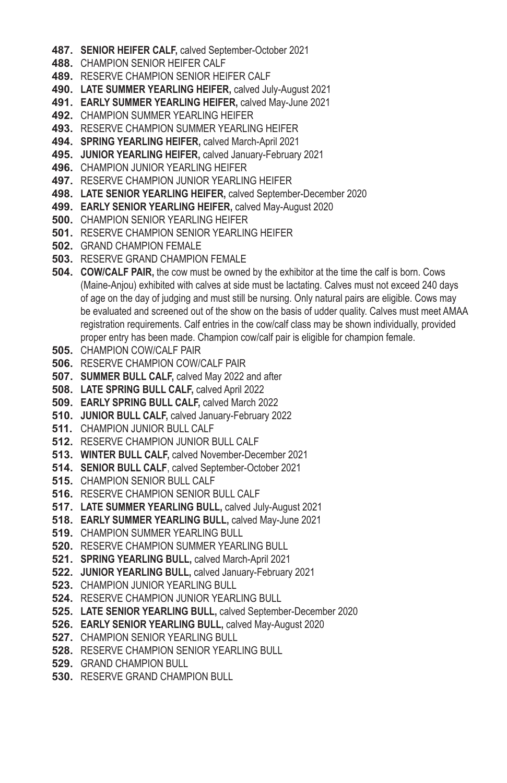- **487. SENIOR HEIFER CALF,** calved September-October 2021
- **488.** CHAMPION SENIOR HEIFER CALF
- **489.** RESERVE CHAMPION SENIOR HEIFER CALF
- **490. LATE SUMMER YEARLING HEIFER,** calved July-August 2021
- **491. EARLY SUMMER YEARLING HEIFER,** calved May-June 2021
- **492.** CHAMPION SUMMER YEARLING HEIFER
- **493.** RESERVE CHAMPION SUMMER YEARLING HEIFER
- **494. SPRING YEARLING HEIFER,** calved March-April 2021
- **495. JUNIOR YEARLING HEIFER,** calved January-February 2021
- **496.** CHAMPION JUNIOR YEARLING HEIFER
- **497.** RESERVE CHAMPION JUNIOR YEARLING HEIFER
- **498. LATE SENIOR YEARLING HEIFER,** calved September-December 2020
- **499. EARLY SENIOR YEARLING HEIFER,** calved May-August 2020
- **500.** CHAMPION SENIOR YEARLING HEIFER
- **501.** RESERVE CHAMPION SENIOR YEARLING HEIFER
- **502.** GRAND CHAMPION FEMALE
- **503.** RESERVE GRAND CHAMPION FEMALE
- **504. COW/CALF PAIR,** the cow must be owned by the exhibitor at the time the calf is born. Cows (Maine-Anjou) exhibited with calves at side must be lactating. Calves must not exceed 240 days of age on the day of judging and must still be nursing. Only natural pairs are eligible. Cows may be evaluated and screened out of the show on the basis of udder quality. Calves must meet AMAA registration requirements. Calf entries in the cow/calf class may be shown individually, provided proper entry has been made. Champion cow/calf pair is eligible for champion female.
- **505.** CHAMPION COW/CALF PAIR
- **506.** RESERVE CHAMPION COW/CALF PAIR
- **507. SUMMER BULL CALF,** calved May 2022 and after
- **508. LATE SPRING BULL CALF,** calved April 2022
- **509. EARLY SPRING BULL CALF,** calved March 2022
- **510. JUNIOR BULL CALF,** calved January-February 2022
- **511.** CHAMPION JUNIOR BULL CALF
- **512.** RESERVE CHAMPION JUNIOR BULL CALF
- **513. WINTER BULL CALF,** calved November-December 2021
- **514. SENIOR BULL CALF**, calved September-October 2021
- **515. CHAMPION SENIOR BULL CALE**
- **516.** RESERVE CHAMPION SENIOR BULL CALF
- **517. LATE SUMMER YEARLING BULL,** calved July-August 2021
- **518. EARLY SUMMER YEARLING BULL,** calved May-June 2021
- **519.** CHAMPION SUMMER YEARLING BULL
- **520.** RESERVE CHAMPION SUMMER YEARLING BULL
- **521. SPRING YEARLING BULL,** calved March-April 2021
- **522. JUNIOR YEARLING BULL,** calved January-February 2021
- **523.** CHAMPION JUNIOR YEARLING BULL
- **524.** RESERVE CHAMPION JUNIOR YEARLING BULL
- **525. LATE SENIOR YEARLING BULL,** calved September-December 2020
- **526. EARLY SENIOR YEARLING BULL,** calved May-August 2020
- **527.** CHAMPION SENIOR YEARLING BULL
- **528.** RESERVE CHAMPION SENIOR YEARLING BULL
- **529.** GRAND CHAMPION BULL
- **530.** RESERVE GRAND CHAMPION BULL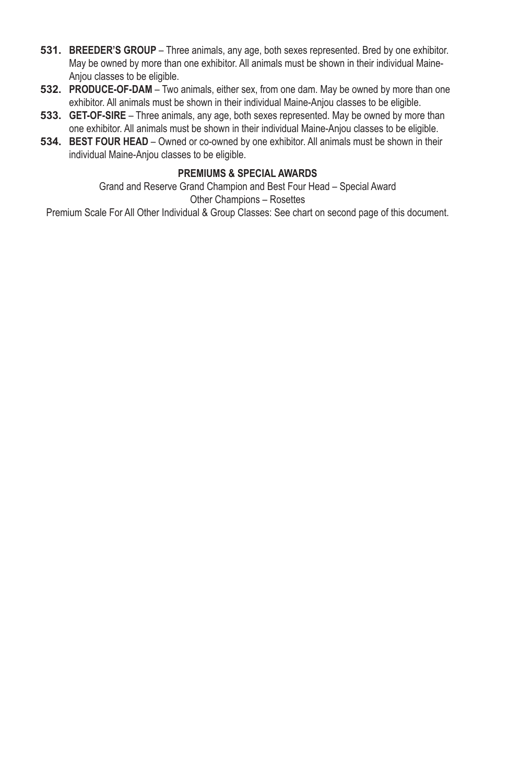- **531. BREEDER'S GROUP** Three animals, any age, both sexes represented. Bred by one exhibitor. May be owned by more than one exhibitor. All animals must be shown in their individual Maine-Anjou classes to be eligible.
- **532. PRODUCE-OF-DAM** Two animals, either sex, from one dam. May be owned by more than one exhibitor. All animals must be shown in their individual Maine-Anjou classes to be eligible.
- **533. GET-OF-SIRE** Three animals, any age, both sexes represented. May be owned by more than one exhibitor. All animals must be shown in their individual Maine-Anjou classes to be eligible.
- **534. BEST FOUR HEAD** Owned or co-owned by one exhibitor. All animals must be shown in their individual Maine-Anjou classes to be eligible.

### **PREMIUMS & SPECIAL AWARDS**

Grand and Reserve Grand Champion and Best Four Head – Special Award Other Champions – Rosettes

Premium Scale For All Other Individual & Group Classes: See chart on second page of this document.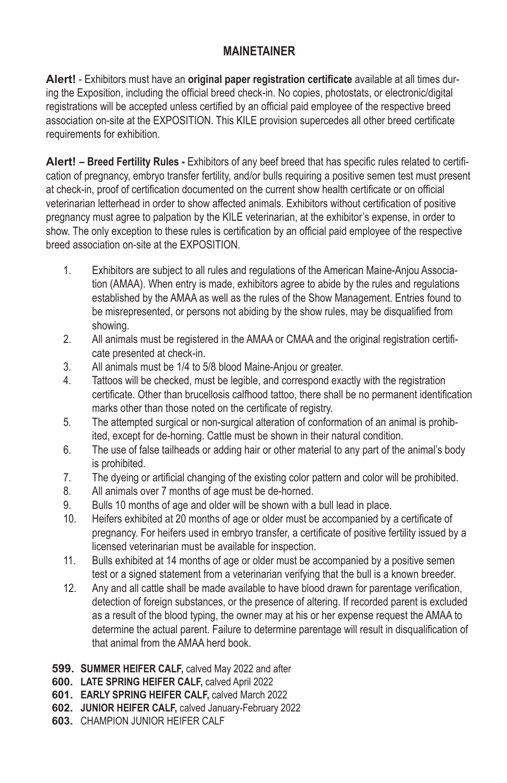## **MAINETAINER**

**Alert!** - Exhibitors must have an **original paper registration certificate** available at all times during the Exposition, including the official breed check-in. No copies, photostats, or electronic/digital registrations will be accepted unless certified by an official paid employee of the respective breed association on-site at the EXPOSITION. This KILE provision supercedes all other breed certificate requirements for exhibition.

**Alert! – Breed Fertility Rules -** Exhibitors of any beef breed that has specific rules related to certification of pregnancy, embryo transfer fertility, and/or bulls requiring a positive semen test must present at check-in, proof of certification documented on the current show health certificate or on official veterinarian letterhead in order to show affected animals. Exhibitors without certification of positive pregnancy must agree to palpation by the KILE veterinarian, at the exhibitor's expense, in order to show. The only exception to these rules is certification by an official paid employee of the respective breed association on-site at the EXPOSITION.

- 1. Exhibitors are subject to all rules and regulations of the American Maine-Anjou Association (AMAA). When entry is made, exhibitors agree to abide by the rules and regulations established by the AMAA as well as the rules of the Show Management. Entries found to be misrepresented, or persons not abiding by the show rules, may be disqualified from showing.
- 2. All animals must be registered in the AMAA or CMAA and the original registration certificate presented at check-in.
- 3. All animals must be 1/4 to 5/8 blood Maine-Anjou or greater.
- 4. Tattoos will be checked, must be legible, and correspond exactly with the registration certificate. Other than brucellosis calfhood tattoo, there shall be no permanent identification marks other than those noted on the certificate of registry.
- 5. The attempted surgical or non-surgical alteration of conformation of an animal is prohibited, except for de-horning. Cattle must be shown in their natural condition.
- 6. The use of false tailheads or adding hair or other material to any part of the animal's body is prohibited.
- 7. The dyeing or artificial changing of the existing color pattern and color will be prohibited.
- 8. All animals over 7 months of age must be de-horned.
- 9. Bulls 10 months of age and older will be shown with a bull lead in place.
- 10. Heifers exhibited at 20 months of age or older must be accompanied by a certificate of pregnancy. For heifers used in embryo transfer, a certificate of positive fertility issued by a licensed veterinarian must be available for inspection.
- 11. Bulls exhibited at 14 months of age or older must be accompanied by a positive semen test or a signed statement from a veterinarian verifying that the bull is a known breeder.
- 12. Any and all cattle shall be made available to have blood drawn for parentage verification, detection of foreign substances, or the presence of altering. If recorded parent is excluded as a result of the blood typing, the owner may at his or her expense request the AMAA to determine the actual parent. Failure to determine parentage will result in disqualification of that animal from the AMAA herd book.
- **599. SUMMER HEIFER CALF,** calved May 2022 and after
- **600. LATE SPRING HEIFER CALF,** calved April 2022
- **601. EARLY SPRING HEIFER CALF,** calved March 2022
- **602. JUNIOR HEIFER CALF,** calved January-February 2022
- **603.** CHAMPION JUNIOR HEIFER CALF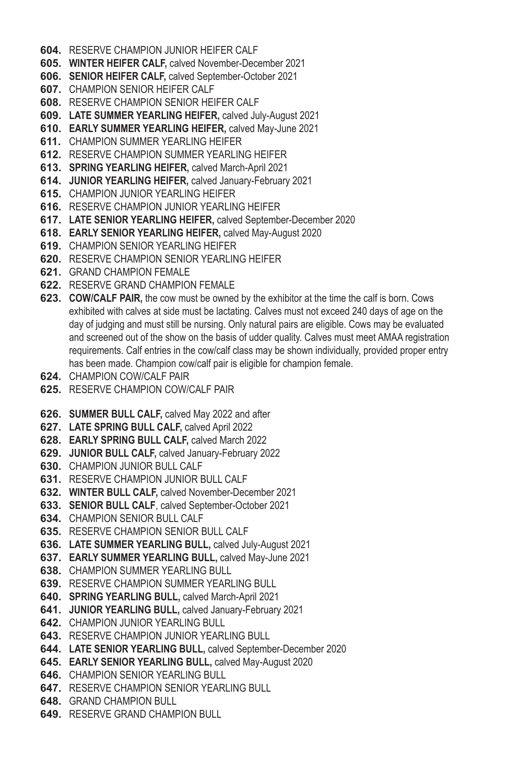- **604.** RESERVE CHAMPION JUNIOR HEIFER CALF
- **605. WINTER HEIFER CALF,** calved November-December 2021
- **606. SENIOR HEIFER CALF,** calved September-October 2021
- **607.** CHAMPION SENIOR HEIFER CALF
- **608.** RESERVE CHAMPION SENIOR HEIFER CALF
- **609. LATE SUMMER YEARLING HEIFER,** calved July-August 2021
- **610. EARLY SUMMER YEARLING HEIFER,** calved May-June 2021
- **611.** CHAMPION SUMMER YEARLING HEIFER
- **612.** RESERVE CHAMPION SUMMER YEARLING HEIFER
- **613. SPRING YEARLING HEIFER,** calved March-April 2021
- **614. JUNIOR YEARLING HEIFER,** calved January-February 2021
- **615.** CHAMPION JUNIOR YEARLING HEIFER
- **616.** RESERVE CHAMPION JUNIOR YEARLING HEIFER
- **617. LATE SENIOR YEARLING HEIFER,** calved September-December 2020
- **618. EARLY SENIOR YEARLING HEIFER,** calved May-August 2020
- **619.** CHAMPION SENIOR YEARLING HEIFER
- **620.** RESERVE CHAMPION SENIOR YEARLING HEIFER
- **621.** GRAND CHAMPION FEMALE
- **622.** RESERVE GRAND CHAMPION FEMALE
- **623. COW/CALF PAIR,** the cow must be owned by the exhibitor at the time the calf is born. Cows exhibited with calves at side must be lactating. Calves must not exceed 240 days of age on the day of judging and must still be nursing. Only natural pairs are eligible. Cows may be evaluated and screened out of the show on the basis of udder quality. Calves must meet AMAA registration requirements. Calf entries in the cow/calf class may be shown individually, provided proper entry has been made. Champion cow/calf pair is eligible for champion female.
- **624.** CHAMPION COW/CALF PAIR
- **625.** RESERVE CHAMPION COW/CALF PAIR
- **626. SUMMER BULL CALF,** calved May 2022 and after
- **627. LATE SPRING BULL CALF,** calved April 2022
- **628. EARLY SPRING BULL CALF,** calved March 2022
- **629. JUNIOR BULL CALF,** calved January-February 2022
- **630.** CHAMPION JUNIOR BULL CALF
- **631.** RESERVE CHAMPION JUNIOR BULL CALF
- **632. WINTER BULL CALF,** calved November-December 2021
- **633. SENIOR BULL CALF**, calved September-October 2021
- **634.** CHAMPION SENIOR BULL CALF
- **635.** RESERVE CHAMPION SENIOR BULL CALF
- **636. LATE SUMMER YEARLING BULL,** calved July-August 2021
- **637. EARLY SUMMER YEARLING BULL,** calved May-June 2021
- **638.** CHAMPION SUMMER YEARLING BULL
- **639.** RESERVE CHAMPION SUMMER YEARLING BULL
- **640. SPRING YEARLING BULL,** calved March-April 2021
- **641. JUNIOR YEARLING BULL,** calved January-February 2021
- **642.** CHAMPION JUNIOR YEARLING BULL
- **643.** RESERVE CHAMPION JUNIOR YEARLING BULL
- **644. LATE SENIOR YEARLING BULL,** calved September-December 2020
- **645. EARLY SENIOR YEARLING BULL,** calved May-August 2020
- **646.** CHAMPION SENIOR YEARLING BULL
- **647.** RESERVE CHAMPION SENIOR YEARLING BULL
- **648.** GRAND CHAMPION BULL
- **649.** RESERVE GRAND CHAMPION BULL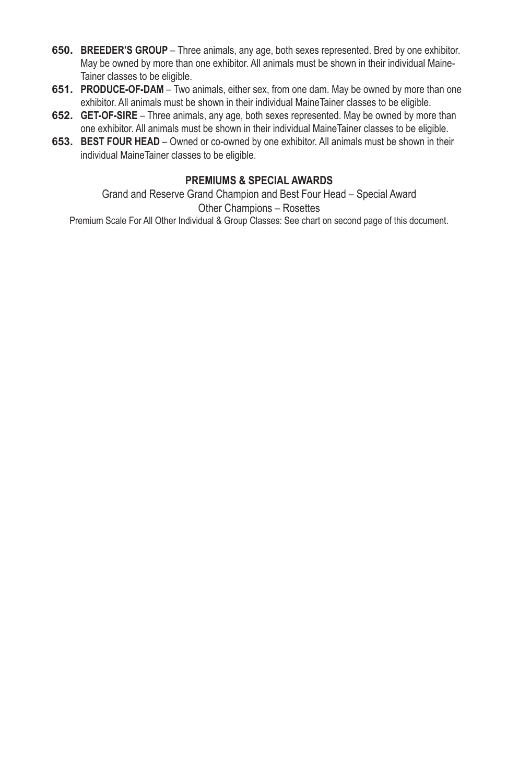- **650. BREEDER'S GROUP** Three animals, any age, both sexes represented. Bred by one exhibitor. May be owned by more than one exhibitor. All animals must be shown in their individual Maine-Tainer classes to be eligible.
- **651. PRODUCE-OF-DAM** Two animals, either sex, from one dam. May be owned by more than one exhibitor. All animals must be shown in their individual MaineTainer classes to be eligible.
- **652. GET-OF-SIRE** Three animals, any age, both sexes represented. May be owned by more than one exhibitor. All animals must be shown in their individual MaineTainer classes to be eligible.
- **653. BEST FOUR HEAD** Owned or co-owned by one exhibitor. All animals must be shown in their individual MaineTainer classes to be eligible.

### **PREMIUMS & SPECIAL AWARDS**

Grand and Reserve Grand Champion and Best Four Head – Special Award Other Champions – Rosettes

Premium Scale For All Other Individual & Group Classes: See chart on second page of this document.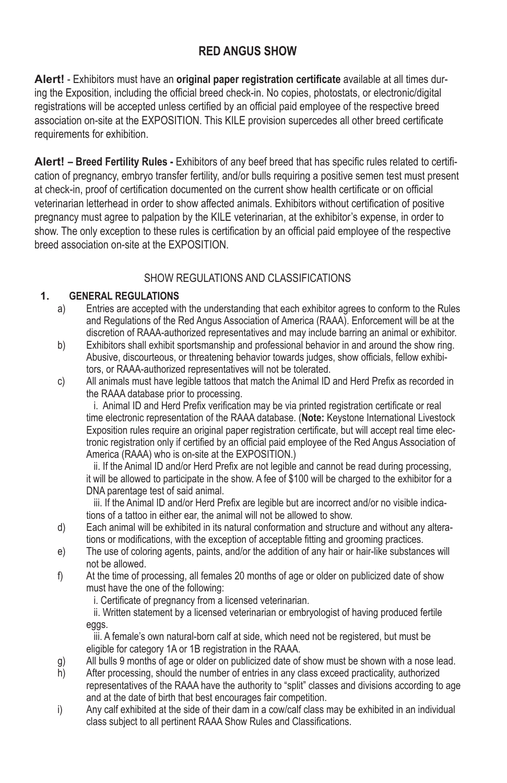# **RED ANGUS SHOW**

**Alert!** - Exhibitors must have an **original paper registration certificate** available at all times during the Exposition, including the official breed check-in. No copies, photostats, or electronic/digital registrations will be accepted unless certified by an official paid employee of the respective breed association on-site at the EXPOSITION. This KILE provision supercedes all other breed certificate requirements for exhibition.

**Alert! – Breed Fertility Rules -** Exhibitors of any beef breed that has specific rules related to certification of pregnancy, embryo transfer fertility, and/or bulls requiring a positive semen test must present at check-in, proof of certification documented on the current show health certificate or on official veterinarian letterhead in order to show affected animals. Exhibitors without certification of positive pregnancy must agree to palpation by the KILE veterinarian, at the exhibitor's expense, in order to show. The only exception to these rules is certification by an official paid employee of the respective breed association on-site at the EXPOSITION.

### SHOW REGULATIONS AND CLASSIFICATIONS

### **1. GENERAL REGULATIONS**

- a) Entries are accepted with the understanding that each exhibitor agrees to conform to the Rules and Regulations of the Red Angus Association of America (RAAA). Enforcement will be at the discretion of RAAA-authorized representatives and may include barring an animal or exhibitor.
- b) Exhibitors shall exhibit sportsmanship and professional behavior in and around the show ring. Abusive, discourteous, or threatening behavior towards judges, show officials, fellow exhibitors, or RAAA-authorized representatives will not be tolerated.
- c) All animals must have legible tattoos that match the Animal ID and Herd Prefix as recorded in the RAAA database prior to processing.

 i. Animal ID and Herd Prefix verification may be via printed registration certificate or real time electronic representation of the RAAA database. (**Note:** Keystone International Livestock Exposition rules require an original paper registration certificate, but will accept real time electronic registration only if certified by an official paid employee of the Red Angus Association of America (RAAA) who is on-site at the EXPOSITION.)

 ii. If the Animal ID and/or Herd Prefix are not legible and cannot be read during processing, it will be allowed to participate in the show. A fee of \$100 will be charged to the exhibitor for a DNA parentage test of said animal.

iii. If the Animal ID and/or Herd Prefix are legible but are incorrect and/or no visible indications of a tattoo in either ear, the animal will not be allowed to show.

- d) Each animal will be exhibited in its natural conformation and structure and without any alterations or modifications, with the exception of acceptable fitting and grooming practices.
- e) The use of coloring agents, paints, and/or the addition of any hair or hair-like substances will not be allowed.
- f) At the time of processing, all females 20 months of age or older on publicized date of show must have the one of the following:

i. Certificate of pregnancy from a licensed veterinarian.

 ii. Written statement by a licensed veterinarian or embryologist of having produced fertile eggs.

 iii. A female's own natural-born calf at side, which need not be registered, but must be eligible for category 1A or 1B registration in the RAAA.

- g) All bulls 9 months of age or older on publicized date of show must be shown with a nose lead.<br>
h) After processing, should the number of entries in any class exceed practicality, authorized
- After processing, should the number of entries in any class exceed practicality, authorized representatives of the RAAA have the authority to "split" classes and divisions according to age and at the date of birth that best encourages fair competition.
- i) Any calf exhibited at the side of their dam in a cow/calf class may be exhibited in an individual class subject to all pertinent RAAA Show Rules and Classifications.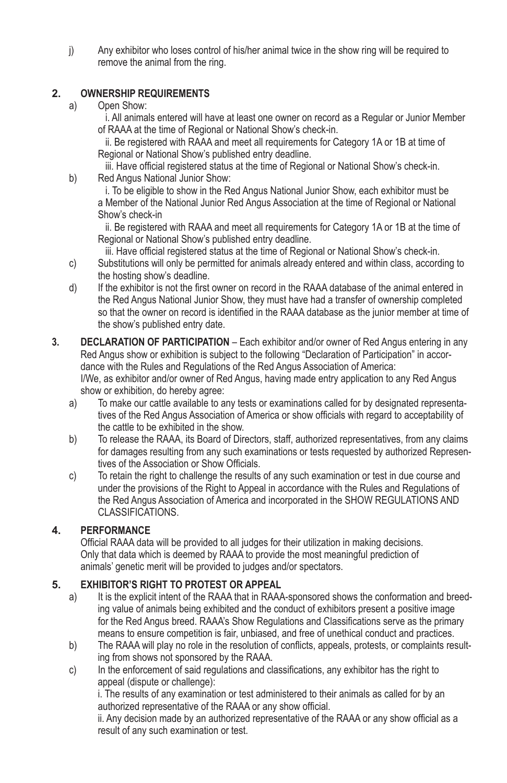j) Any exhibitor who loses control of his/her animal twice in the show ring will be required to remove the animal from the ring.

### **2. OWNERSHIP REQUIREMENTS**

a) Open Show:

 i. All animals entered will have at least one owner on record as a Regular or Junior Member of RAAA at the time of Regional or National Show's check-in.

 ii. Be registered with RAAA and meet all requirements for Category 1A or 1B at time of Regional or National Show's published entry deadline.

 iii. Have official registered status at the time of Regional or National Show's check-in. b) Red Angus National Junior Show:

 i. To be eligible to show in the Red Angus National Junior Show, each exhibitor must be a Member of the National Junior Red Angus Association at the time of Regional or National Show's check-in

 ii. Be registered with RAAA and meet all requirements for Category 1A or 1B at the time of Regional or National Show's published entry deadline.

iii. Have official registered status at the time of Regional or National Show's check-in.

- c) Substitutions will only be permitted for animals already entered and within class, according to the hosting show's deadline.
- d) If the exhibitor is not the first owner on record in the RAAA database of the animal entered in the Red Angus National Junior Show, they must have had a transfer of ownership completed so that the owner on record is identified in the RAAA database as the junior member at time of the show's published entry date.
- **3. DECLARATION OF PARTICIPATION** Each exhibitor and/or owner of Red Angus entering in any Red Angus show or exhibition is subject to the following "Declaration of Participation" in accordance with the Rules and Regulations of the Red Angus Association of America: I/We, as exhibitor and/or owner of Red Angus, having made entry application to any Red Angus show or exhibition, do hereby agree:
	- a) To make our cattle available to any tests or examinations called for by designated representatives of the Red Angus Association of America or show officials with regard to acceptability of the cattle to be exhibited in the show.
	- b) To release the RAAA, its Board of Directors, staff, authorized representatives, from any claims for damages resulting from any such examinations or tests requested by authorized Representives of the Association or Show Officials.
	- c) To retain the right to challenge the results of any such examination or test in due course and under the provisions of the Right to Appeal in accordance with the Rules and Regulations of the Red Angus Association of America and incorporated in the SHOW REGULATIONS AND CLASSIFICATIONS.

### **4. PERFORMANCE**

Official RAAA data will be provided to all judges for their utilization in making decisions. Only that data which is deemed by RAAA to provide the most meaningful prediction of animals' genetic merit will be provided to judges and/or spectators.

### **5. EXHIBITOR'S RIGHT TO PROTEST OR APPEAL**

- a) It is the explicit intent of the RAAA that in RAAA-sponsored shows the conformation and breeding value of animals being exhibited and the conduct of exhibitors present a positive image for the Red Angus breed. RAAA's Show Regulations and Classifications serve as the primary means to ensure competition is fair, unbiased, and free of unethical conduct and practices.
- b) The RAAA will play no role in the resolution of conflicts, appeals, protests, or complaints resulting from shows not sponsored by the RAAA.
- c) In the enforcement of said regulations and classifications, any exhibitor has the right to appeal (dispute or challenge):

i. The results of any examination or test administered to their animals as called for by an authorized representative of the RAAA or any show official.

ii. Any decision made by an authorized representative of the RAAA or any show official as a result of any such examination or test.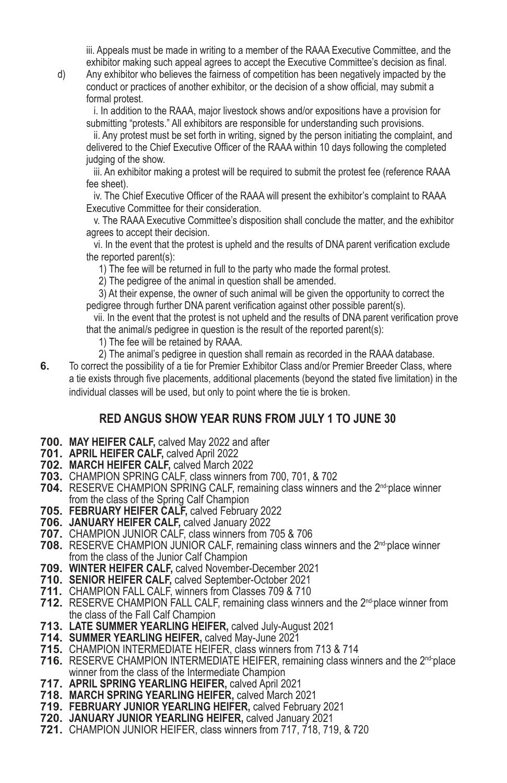iii. Appeals must be made in writing to a member of the RAAA Executive Committee, and the exhibitor making such appeal agrees to accept the Executive Committee's decision as final.

d) Any exhibitor who believes the fairness of competition has been negatively impacted by the conduct or practices of another exhibitor, or the decision of a show official, may submit a formal protest.

 i. In addition to the RAAA, major livestock shows and/or expositions have a provision for submitting "protests." All exhibitors are responsible for understanding such provisions.

 ii. Any protest must be set forth in writing, signed by the person initiating the complaint, and delivered to the Chief Executive Officer of the RAAA within 10 days following the completed judging of the show.

 iii. An exhibitor making a protest will be required to submit the protest fee (reference RAAA fee sheet).

 iv. The Chief Executive Officer of the RAAA will present the exhibitor's complaint to RAAA Executive Committee for their consideration.

 v. The RAAA Executive Committee's disposition shall conclude the matter, and the exhibitor agrees to accept their decision.

 vi. In the event that the protest is upheld and the results of DNA parent verification exclude the reported parent(s):

1) The fee will be returned in full to the party who made the formal protest.

2) The pedigree of the animal in question shall be amended.

 3) At their expense, the owner of such animal will be given the opportunity to correct the pedigree through further DNA parent verification against other possible parent(s).

 vii. In the event that the protest is not upheld and the results of DNA parent verification prove that the animal/s pedigree in question is the result of the reported parent(s):

- 1) The fee will be retained by RAAA.
- 2) The animal's pedigree in question shall remain as recorded in the RAAA database.
- **6.** To correct the possibility of a tie for Premier Exhibitor Class and/or Premier Breeder Class, where a tie exists through five placements, additional placements (beyond the stated five limitation) in the individual classes will be used, but only to point where the tie is broken.

### **RED ANGUS SHOW YEAR RUNS FROM JULY 1 TO JUNE 30**

- **700. MAY HEIFER CALF,** calved May 2022 and after
- **701. APRIL HEIFER CALF,** calved April 2022
- **702. MARCH HEIFER CALF,** calved March 2022
- **703.** CHAMPION SPRING CALF, class winners from 700, 701, & 702
- **704.** RESERVE CHAMPION SPRING CALF, remaining class winners and the 2<sup>nd-</sup>place winner from the class of the Spring Calf Champion
- **705. FEBRUARY HEIFER CALF,** calved February 2022
- **706. JANUARY HEIFER CALF,** calved January 2022
- **707.** CHAMPION JUNIOR CALF, class winners from 705 & 706
- **708.** RESERVE CHAMPION JUNIOR CALF, remaining class winners and the 2<sup>nd-</sup>place winner from the class of the Junior Calf Champion
- **709. WINTER HEIFER CALF,** calved November-December 2021
- **710. SENIOR HEIFER CALF,** calved September-October 2021
- **711.** CHAMPION FALL CALF, winners from Classes 709 & 710
- **712.** RESERVE CHAMPION FALL CALF, remaining class winners and the 2<sup>nd-</sup>place winner from the class of the Fall Calf Champion
- **713. LATE SUMMER YEARLING HEIFER,** calved July-August 2021
- **714. SUMMER YEARLING HEIFER,** calved May-June 2021
- **715.** CHAMPION INTERMEDIATE HEIFER, class winners from 713 & 714
- **716.** RESERVE CHAMPION INTERMEDIATE HEIFER, remaining class winners and the 2<sup>nd-</sup>place winner from the class of the Intermediate Champion
- **717. APRIL SPRING YEARLING HEIFER,** calved April 2021
- **718. MARCH SPRING YEARLING HEIFER,** calved March 2021
- **719. FEBRUARY JUNIOR YEARLING HEIFER,** calved February 2021
- **720. JANUARY JUNIOR YEARLING HEIFER,** calved January 2021
- **721.** CHAMPION JUNIOR HEIFER, class winners from 717, 718, 719, & 720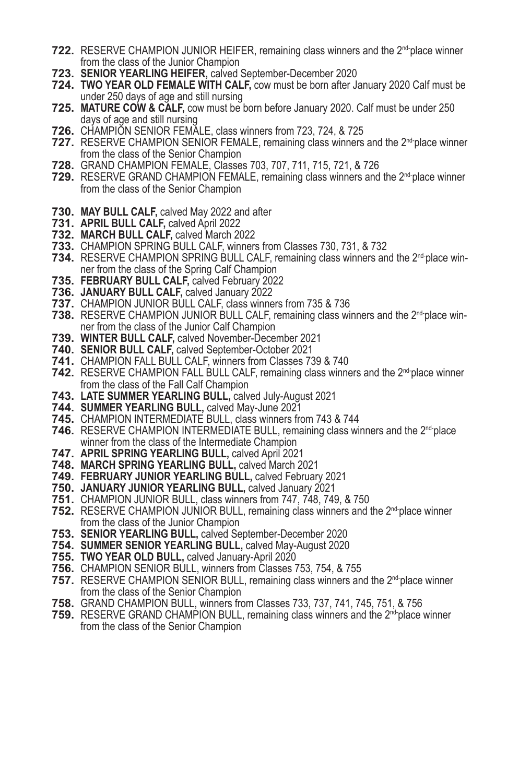- **722.** RESERVE CHAMPION JUNIOR HEIFER, remaining class winners and the 2<sup>nd-</sup>place winner from the class of the Junior Champion
- **723. SENIOR YEARLING HEIFER,** calved September-December 2020
- **724. TWO YEAR OLD FEMALE WITH CALF,** cow must be born after January 2020 Calf must be under 250 days of age and still nursing
- **725. MATURE COW & CALF,** cow must be born before January 2020. Calf must be under 250 days of age and still nursing
- **726.** CHAMPION SENIOR FEMALE, class winners from 723, 724, & 725
- **727.** RESERVE CHAMPION SENIOR FEMALE, remaining class winners and the 2<sup>nd-</sup>place winner from the class of the Senior Champion
- **728.** GRAND CHAMPION FEMALE, Classes 703, 707, 711, 715, 721, & 726
- **729.** RESERVE GRAND CHAMPION FEMALE, remaining class winners and the 2<sup>nd-</sup>place winner from the class of the Senior Champion
- **730. MAY BULL CALF,** calved May 2022 and after
- **731. APRIL BULL CALF,** calved April 2022
- **732. MARCH BULL CALF,** calved March 2022
- **733.** CHAMPION SPRING BULL CALF, winners from Classes 730, 731, & 732
- **734.** RESERVE CHAMPION SPRING BULL CALF, remaining class winners and the 2<sup>nd-</sup>place winner from the class of the Spring Calf Champion
- **735. FEBRUARY BULL CALF,** calved February 2022
- **736. JANUARY BULL CALF,** calved January 2022
- **737.** CHAMPION JUNIOR BULL CALF, class winners from 735 & 736
- **738.** RESERVE CHAMPION JUNIOR BULL CALF, remaining class winners and the 2<sup>nd-</sup>place winner from the class of the Junior Calf Champion
- **739. WINTER BULL CALF,** calved November-December 2021
- **740. SENIOR BULL CALF,** calved September-October 2021
- **741.** CHAMPION FALL BULL CALF, winners from Classes 739 & 740
- **742.** RESERVE CHAMPION FALL BULL CALF, remaining class winners and the 2<sup>nd-</sup>place winner from the class of the Fall Calf Champion
- **743. LATE SUMMER YEARLING BULL,** calved July-August 2021
- **744. SUMMER YEARLING BULL,** calved May-June 2021
- **745.** CHAMPION INTERMEDIATE BULL, class winners from 743 & 744
- **746.** RESERVE CHAMPION INTERMEDIATE BULL, remaining class winners and the 2<sup>nd-</sup>place winner from the class of the Intermediate Champion
- **747. APRIL SPRING YEARLING BULL,** calved April 2021
- **748. MARCH SPRING YEARLING BULL,** calved March 2021
- **749. FEBRUARY JUNIOR YEARLING BULL,** calved February 2021
- **750. JANUARY JUNIOR YEARLING BULL,** calved January 2021
- **751.** CHAMPION JUNIOR BULL, class winners from 747, 748, 749, & 750
- **752.** RESERVE CHAMPION JUNIOR BULL, remaining class winners and the 2<sup>nd-</sup>place winner from the class of the Junior Champion
- **753. SENIOR YEARLING BULL,** calved September-December 2020
- **754. SUMMER SENIOR YEARLING BULL,** calved May-August 2020
- **755. TWO YEAR OLD BULL,** calved January-April 2020
- **756.** CHAMPION SENIOR BULL, winners from Classes 753, 754, & 755
- **757.** RESERVE CHAMPION SENIOR BULL, remaining class winners and the 2<sup>nd-</sup>place winner from the class of the Senior Champion
- **758.** GRAND CHAMPION BULL, winners from Classes 733, 737, 741, 745, 751, & 756
- **759.** RESERVE GRAND CHAMPION BULL, remaining class winners and the 2<sup>nd-</sup>place winner from the class of the Senior Champion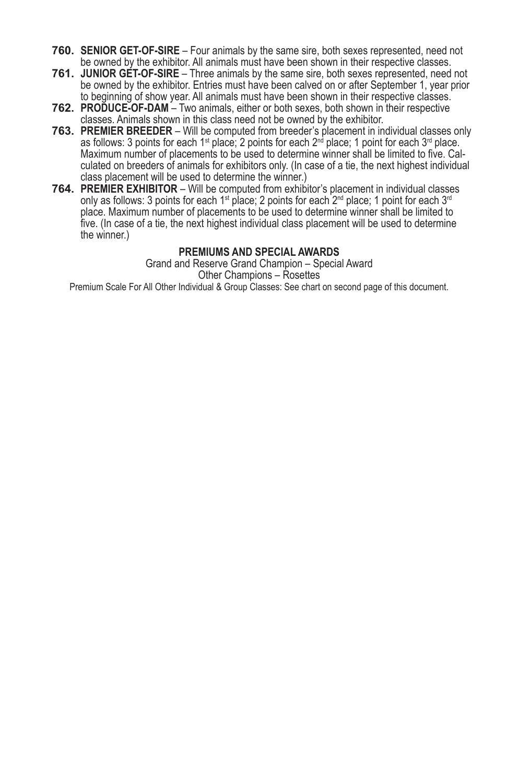- **760. SENIOR GET-OF-SIRE** Four animals by the same sire, both sexes represented, need not be owned by the exhibitor. All animals must have been shown in their respective classes.
- **761. JUNIOR GET-OF-SIRE** Three animals by the same sire, both sexes represented, need not be owned by the exhibitor. Entries must have been calved on or after September 1, year prior to beginning of show year. All animals must have been shown in their respective classes.
- **762. PRODUCE-OF-DAM** Two animals, either or both sexes, both shown in their respective classes. Animals shown in this class need not be owned by the exhibitor.
- **763. PREMIER BREEDER** Will be computed from breeder's placement in individual classes only as follows: 3 points for each 1<sup>st</sup> place; 2 points for each  $2<sup>nd</sup>$  place; 1 point for each  $3<sup>rd</sup>$  place. Maximum number of placements to be used to determine winner shall be limited to five. Calculated on breeders of animals for exhibitors only. (In case of a tie, the next highest individual class placement will be used to determine the winner.)
- **764. PREMIER EXHIBITOR** Will be computed from exhibitor's placement in individual classes only as follows: 3 points for each 1<sup>st</sup> place; 2 points for each 2<sup>nd</sup> place; 1 point for each 3<sup>rd</sup> place. Maximum number of placements to be used to determine winner shall be limited to five. (In case of a tie, the next highest individual class placement will be used to determine the winner.)

#### **PREMIUMS AND SPECIAL AWARDS**

Grand and Reserve Grand Champion – Special Award Other Champions – Rosettes Premium Scale For All Other Individual & Group Classes: See chart on second page of this document.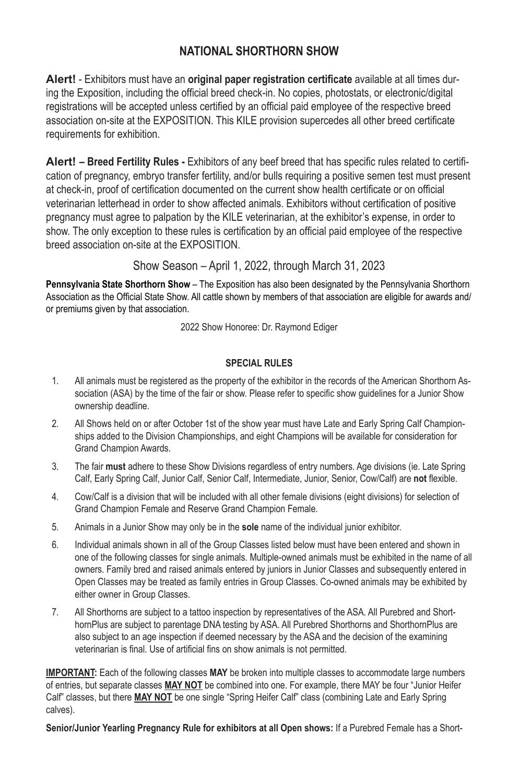## **NATIONAL SHORTHORN SHOW**

**Alert!** - Exhibitors must have an **original paper registration certificate** available at all times during the Exposition, including the official breed check-in. No copies, photostats, or electronic/digital registrations will be accepted unless certified by an official paid employee of the respective breed association on-site at the EXPOSITION. This KILE provision supercedes all other breed certificate requirements for exhibition.

**Alert! – Breed Fertility Rules -** Exhibitors of any beef breed that has specific rules related to certification of pregnancy, embryo transfer fertility, and/or bulls requiring a positive semen test must present at check-in, proof of certification documented on the current show health certificate or on official veterinarian letterhead in order to show affected animals. Exhibitors without certification of positive pregnancy must agree to palpation by the KILE veterinarian, at the exhibitor's expense, in order to show. The only exception to these rules is certification by an official paid employee of the respective breed association on-site at the EXPOSITION.

Show Season – April 1, 2022, through March 31, 2023

**Pennsylvania State Shorthorn Show** – The Exposition has also been designated by the Pennsylvania Shorthorn Association as the Official State Show. All cattle shown by members of that association are eligible for awards and/ or premiums given by that association.

2022 Show Honoree: Dr. Raymond Ediger

### **SPECIAL RULES**

- 1. All animals must be registered as the property of the exhibitor in the records of the American Shorthorn Association (ASA) by the time of the fair or show. Please refer to specific show guidelines for a Junior Show ownership deadline.
- 2. All Shows held on or after October 1st of the show year must have Late and Early Spring Calf Championships added to the Division Championships, and eight Champions will be available for consideration for Grand Champion Awards.
- 3. The fair **must** adhere to these Show Divisions regardless of entry numbers. Age divisions (ie. Late Spring Calf, Early Spring Calf, Junior Calf, Senior Calf, Intermediate, Junior, Senior, Cow/Calf) are **not** flexible.
- 4. Cow/Calf is a division that will be included with all other female divisions (eight divisions) for selection of Grand Champion Female and Reserve Grand Champion Female.
- 5. Animals in a Junior Show may only be in the **sole** name of the individual junior exhibitor.
- 6. Individual animals shown in all of the Group Classes listed below must have been entered and shown in one of the following classes for single animals. Multiple-owned animals must be exhibited in the name of all owners. Family bred and raised animals entered by juniors in Junior Classes and subsequently entered in Open Classes may be treated as family entries in Group Classes. Co-owned animals may be exhibited by either owner in Group Classes.
- 7. All Shorthorns are subject to a tattoo inspection by representatives of the ASA. All Purebred and ShorthornPlus are subject to parentage DNA testing by ASA. All Purebred Shorthorns and ShorthornPlus are also subject to an age inspection if deemed necessary by the ASA and the decision of the examining veterinarian is final. Use of artificial fins on show animals is not permitted.

**IMPORTANT:** Each of the following classes **MAY** be broken into multiple classes to accommodate large numbers of entries, but separate classes **MAY NOT** be combined into one. For example, there MAY be four "Junior Heifer Calf" classes, but there **MAY NOT** be one single "Spring Heifer Calf" class (combining Late and Early Spring calves).

**Senior/Junior Yearling Pregnancy Rule for exhibitors at all Open shows:** If a Purebred Female has a Short-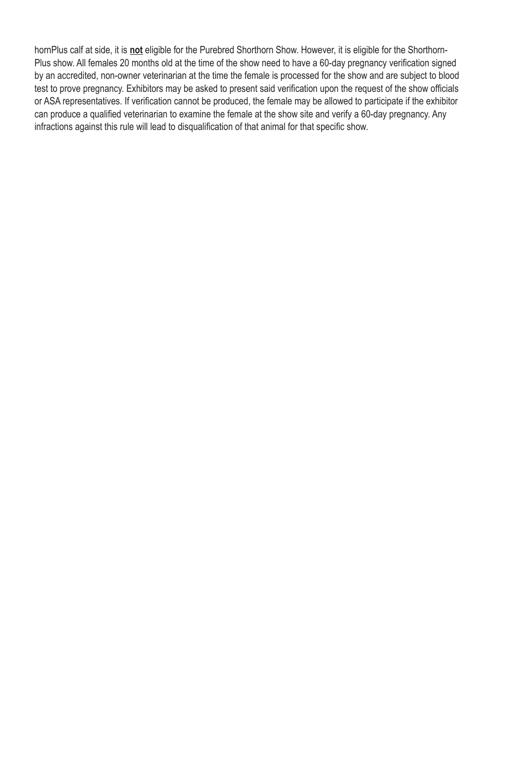hornPlus calf at side, it is **not** eligible for the Purebred Shorthorn Show. However, it is eligible for the Shorthorn-Plus show. All females 20 months old at the time of the show need to have a 60-day pregnancy verification signed by an accredited, non-owner veterinarian at the time the female is processed for the show and are subject to blood test to prove pregnancy. Exhibitors may be asked to present said verification upon the request of the show officials or ASA representatives. If verification cannot be produced, the female may be allowed to participate if the exhibitor can produce a qualified veterinarian to examine the female at the show site and verify a 60-day pregnancy. Any infractions against this rule will lead to disqualification of that animal for that specific show.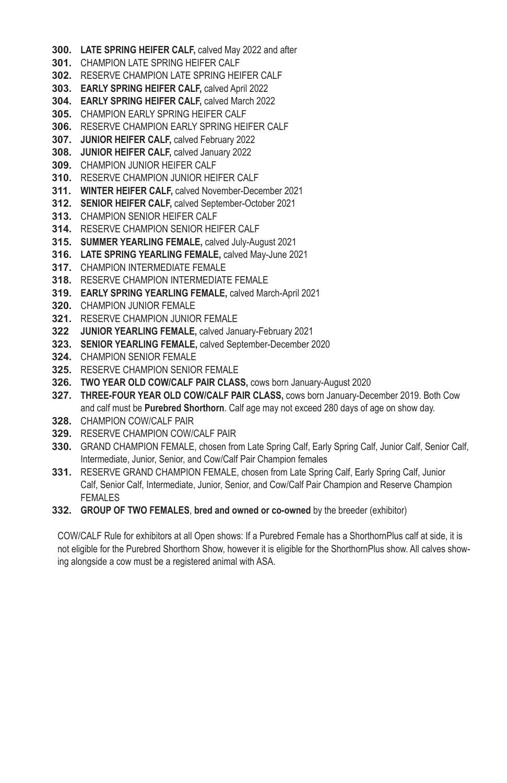- **300. LATE SPRING HEIFER CALF,** calved May 2022 and after
- **301.** CHAMPION LATE SPRING HEIFER CALF
- **302.** RESERVE CHAMPION LATE SPRING HEIFER CALF
- **303. EARLY SPRING HEIFER CALF,** calved April 2022
- **304. EARLY SPRING HEIFER CALF,** calved March 2022
- **305.** CHAMPION EARLY SPRING HEIFER CALF
- **306.** RESERVE CHAMPION EARLY SPRING HEIFER CALF
- **307. JUNIOR HEIFER CALF,** calved February 2022
- **308. JUNIOR HEIFER CALF,** calved January 2022
- **309.** CHAMPION JUNIOR HEIFER CALF
- **310.** RESERVE CHAMPION JUNIOR HEIFER CALF
- **311. WINTER HEIFER CALF,** calved November-December 2021
- **312. SENIOR HEIFER CALF,** calved September-October 2021
- **313.** CHAMPION SENIOR HEIFER CALF
- **314.** RESERVE CHAMPION SENIOR HEIFER CALF
- **315. SUMMER YEARLING FEMALE,** calved July-August 2021
- **316. LATE SPRING YEARLING FEMALE,** calved May-June 2021
- **317.** CHAMPION INTERMEDIATE FEMALE
- **318.** RESERVE CHAMPION INTERMEDIATE FEMALE
- **319. EARLY SPRING YEARLING FEMALE,** calved March-April 2021
- **320.** CHAMPION JUNIOR FEMALE
- **321.** RESERVE CHAMPION JUNIOR FEMALE
- **322 JUNIOR YEARLING FEMALE,** calved January-February 2021
- **323. SENIOR YEARLING FEMALE,** calved September-December 2020
- **324.** CHAMPION SENIOR FEMALE
- **325.** RESERVE CHAMPION SENIOR FEMALE
- **326. TWO YEAR OLD COW/CALF PAIR CLASS,** cows born January-August 2020
- **327. THREE-FOUR YEAR OLD COW/CALF PAIR CLASS,** cows born January-December 2019. Both Cow and calf must be **Purebred Shorthorn**. Calf age may not exceed 280 days of age on show day.
- **328.** CHAMPION COW/CALF PAIR
- **329.** RESERVE CHAMPION COW/CALF PAIR
- **330.** GRAND CHAMPION FEMALE, chosen from Late Spring Calf, Early Spring Calf, Junior Calf, Senior Calf, Intermediate, Junior, Senior, and Cow/Calf Pair Champion females
- **331.** RESERVE GRAND CHAMPION FEMALE, chosen from Late Spring Calf, Early Spring Calf, Junior Calf, Senior Calf, Intermediate, Junior, Senior, and Cow/Calf Pair Champion and Reserve Champion FEMALES
- **332. GROUP OF TWO FEMALES**, **bred and owned or co-owned** by the breeder (exhibitor)

COW/CALF Rule for exhibitors at all Open shows: If a Purebred Female has a ShorthornPlus calf at side, it is not eligible for the Purebred Shorthorn Show, however it is eligible for the ShorthornPlus show. All calves showing alongside a cow must be a registered animal with ASA.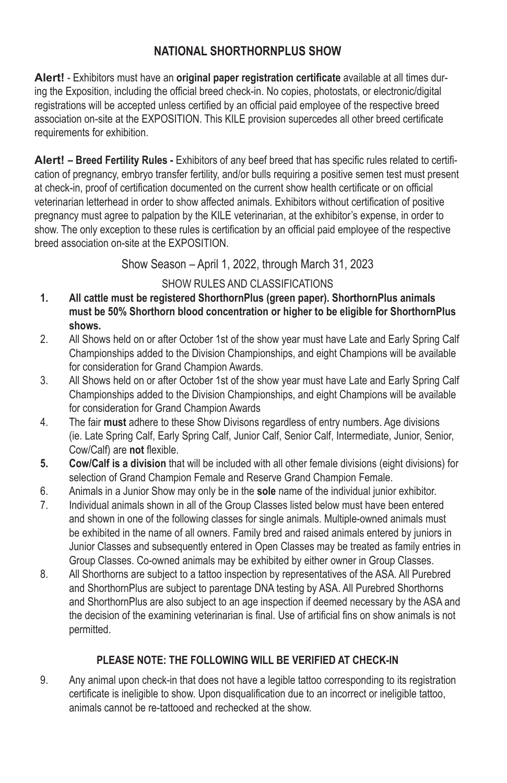# **NATIONAL SHORTHORNPLUS SHOW**

**Alert!** - Exhibitors must have an **original paper registration certificate** available at all times during the Exposition, including the official breed check-in. No copies, photostats, or electronic/digital registrations will be accepted unless certified by an official paid employee of the respective breed association on-site at the EXPOSITION. This KILE provision supercedes all other breed certificate requirements for exhibition.

**Alert! – Breed Fertility Rules -** Exhibitors of any beef breed that has specific rules related to certification of pregnancy, embryo transfer fertility, and/or bulls requiring a positive semen test must present at check-in, proof of certification documented on the current show health certificate or on official veterinarian letterhead in order to show affected animals. Exhibitors without certification of positive pregnancy must agree to palpation by the KILE veterinarian, at the exhibitor's expense, in order to show. The only exception to these rules is certification by an official paid employee of the respective breed association on-site at the EXPOSITION.

Show Season – April 1, 2022, through March 31, 2023

## SHOW RULES AND CLASSIFICATIONS

- **1. All cattle must be registered ShorthornPlus (green paper). ShorthornPlus animals must be 50% Shorthorn blood concentration or higher to be eligible for ShorthornPlus shows.**
- 2. All Shows held on or after October 1st of the show year must have Late and Early Spring Calf Championships added to the Division Championships, and eight Champions will be available for consideration for Grand Champion Awards.
- 3. All Shows held on or after October 1st of the show year must have Late and Early Spring Calf Championships added to the Division Championships, and eight Champions will be available for consideration for Grand Champion Awards
- 4. The fair **must** adhere to these Show Divisons regardless of entry numbers. Age divisions (ie. Late Spring Calf, Early Spring Calf, Junior Calf, Senior Calf, Intermediate, Junior, Senior, Cow/Calf) are **not** flexible.
- **5. Cow/Calf is a division** that will be included with all other female divisions (eight divisions) for selection of Grand Champion Female and Reserve Grand Champion Female.
- 6. Animals in a Junior Show may only be in the **sole** name of the individual junior exhibitor.
- 7. Individual animals shown in all of the Group Classes listed below must have been entered and shown in one of the following classes for single animals. Multiple-owned animals must be exhibited in the name of all owners. Family bred and raised animals entered by juniors in Junior Classes and subsequently entered in Open Classes may be treated as family entries in Group Classes. Co-owned animals may be exhibited by either owner in Group Classes.
- 8. All Shorthorns are subject to a tattoo inspection by representatives of the ASA. All Purebred and ShorthornPlus are subject to parentage DNA testing by ASA. All Purebred Shorthorns and ShorthornPlus are also subject to an age inspection if deemed necessary by the ASA and the decision of the examining veterinarian is final. Use of artificial fins on show animals is not permitted.

# **PLEASE NOTE: THE FOLLOWING WILL BE VERIFIED AT CHECK-IN**

9. Any animal upon check-in that does not have a legible tattoo corresponding to its registration certificate is ineligible to show. Upon disqualification due to an incorrect or ineligible tattoo, animals cannot be re-tattooed and rechecked at the show.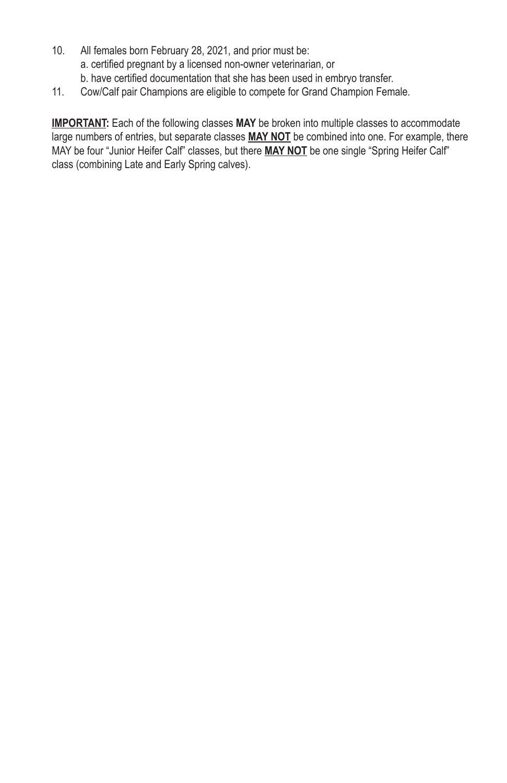- 10. All females born February 28, 2021, and prior must be: a. certified pregnant by a licensed non-owner veterinarian, or b. have certified documentation that she has been used in embryo transfer.
- 11. Cow/Calf pair Champions are eligible to compete for Grand Champion Female.

**IMPORTANT:** Each of the following classes **MAY** be broken into multiple classes to accommodate large numbers of entries, but separate classes **MAY NOT** be combined into one. For example, there MAY be four "Junior Heifer Calf" classes, but there **MAY NOT** be one single "Spring Heifer Calf" class (combining Late and Early Spring calves).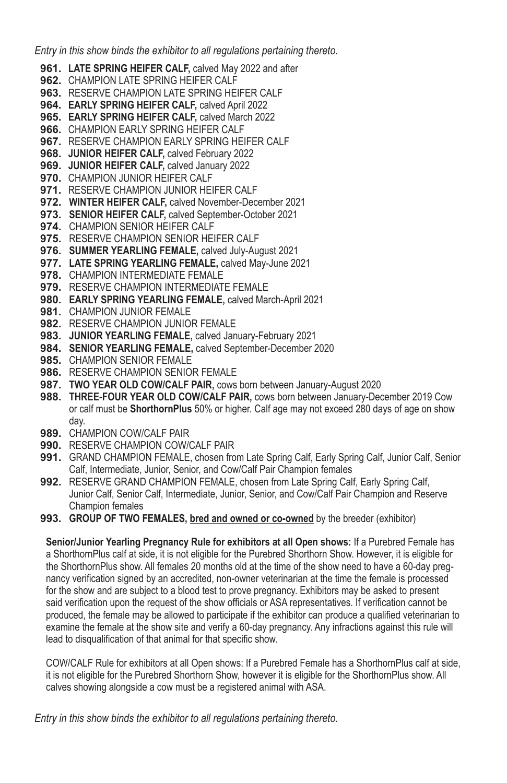*Entry in this show binds the exhibitor to all regulations pertaining thereto.*

- **961. LATE SPRING HEIFER CALF,** calved May 2022 and after
- **962.** CHAMPION LATE SPRING HEIFER CALF
- **963.** RESERVE CHAMPION LATE SPRING HEIFER CALF
- **964. EARLY SPRING HEIFER CALF,** calved April 2022
- **965. EARLY SPRING HEIFER CALF,** calved March 2022
- **966.** CHAMPION EARLY SPRING HEIFER CALF
- **967.** RESERVE CHAMPION EARLY SPRING HEIFER CALF
- **968. JUNIOR HEIFER CALF,** calved February 2022
- **969. JUNIOR HEIFER CALF,** calved January 2022
- **970.** CHAMPION JUNIOR HEIFER CALF
- **971.** RESERVE CHAMPION JUNIOR HEIFER CALF
- **972. WINTER HEIFER CALF,** calved November-December 2021
- **973. SENIOR HEIFER CALF,** calved September-October 2021
- **974.** CHAMPION SENIOR HEIFER CALF
- **975.** RESERVE CHAMPION SENIOR HEIFER CALF
- **976. SUMMER YEARLING FEMALE,** calved July-August 2021
- **977. LATE SPRING YEARLING FEMALE,** calved May-June 2021
- **978.** CHAMPION INTERMEDIATE FEMALE
- **979.** RESERVE CHAMPION INTERMEDIATE FEMALE
- **980. EARLY SPRING YEARLING FEMALE,** calved March-April 2021
- **981.** CHAMPION JUNIOR FEMALE
- **982.** RESERVE CHAMPION JUNIOR FEMALE
- **983. JUNIOR YEARLING FEMALE,** calved January-February 2021
- **984. SENIOR YEARLING FEMALE,** calved September-December 2020
- **985.** CHAMPION SENIOR FEMALE
- **986.** RESERVE CHAMPION SENIOR FEMALE
- **987. TWO YEAR OLD COW/CALF PAIR,** cows born between January-August 2020
- **988. THREE-FOUR YEAR OLD COW/CALF PAIR,** cows born between January-December 2019 Cow or calf must be **ShorthornPlus** 50% or higher. Calf age may not exceed 280 days of age on show day.
- **989.** CHAMPION COW/CALF PAIR
- **990.** RESERVE CHAMPION COW/CALF PAIR
- **991.** GRAND CHAMPION FEMALE, chosen from Late Spring Calf, Early Spring Calf, Junior Calf, Senior Calf, Intermediate, Junior, Senior, and Cow/Calf Pair Champion females
- **992.** RESERVE GRAND CHAMPION FEMALE, chosen from Late Spring Calf, Early Spring Calf, Junior Calf, Senior Calf, Intermediate, Junior, Senior, and Cow/Calf Pair Champion and Reserve Champion females
- **993. GROUP OF TWO FEMALES, bred and owned or co-owned** by the breeder (exhibitor)

**Senior/Junior Yearling Pregnancy Rule for exhibitors at all Open shows:** If a Purebred Female has a ShorthornPlus calf at side, it is not eligible for the Purebred Shorthorn Show. However, it is eligible for the ShorthornPlus show. All females 20 months old at the time of the show need to have a 60-day pregnancy verification signed by an accredited, non-owner veterinarian at the time the female is processed for the show and are subject to a blood test to prove pregnancy. Exhibitors may be asked to present said verification upon the request of the show officials or ASA representatives. If verification cannot be produced, the female may be allowed to participate if the exhibitor can produce a qualified veterinarian to examine the female at the show site and verify a 60-day pregnancy. Any infractions against this rule will lead to disqualification of that animal for that specific show.

COW/CALF Rule for exhibitors at all Open shows: If a Purebred Female has a ShorthornPlus calf at side, it is not eligible for the Purebred Shorthorn Show, however it is eligible for the ShorthornPlus show. All calves showing alongside a cow must be a registered animal with ASA.

*Entry in this show binds the exhibitor to all regulations pertaining thereto.*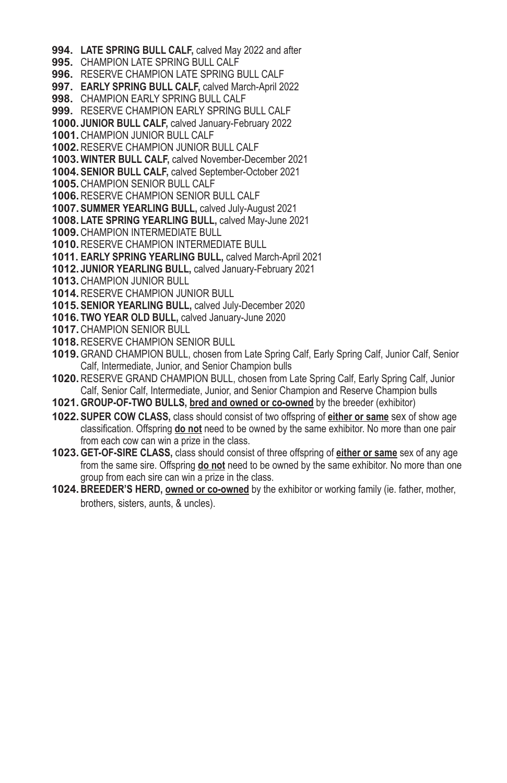- **994. LATE SPRING BULL CALF,** calved May 2022 and after
- **995.** CHAMPION LATE SPRING BULL CALF
- **996.** RESERVE CHAMPION LATE SPRING BULL CALF
- **997. EARLY SPRING BULL CALF,** calved March-April 2022
- **998.** CHAMPION EARLY SPRING BULL CALF
- **999.** RESERVE CHAMPION EARLY SPRING BULL CALF
- **1000. JUNIOR BULL CALF,** calved January-February 2022
- **1001.**CHAMPION JUNIOR BULL CALF
- **1002.**RESERVE CHAMPION JUNIOR BULL CALF
- **1003.WINTER BULL CALF,** calved November-December 2021
- **1004. SENIOR BULL CALF,** calved September-October 2021
- **1005.**CHAMPION SENIOR BULL CALF
- **1006.**RESERVE CHAMPION SENIOR BULL CALF
- **1007. SUMMER YEARLING BULL,** calved July-August 2021
- **1008. LATE SPRING YEARLING BULL,** calved May-June 2021
- **1009.**CHAMPION INTERMEDIATE BULL
- **1010.**RESERVE CHAMPION INTERMEDIATE BULL
- **1011. EARLY SPRING YEARLING BULL,** calved March-April 2021
- **1012. JUNIOR YEARLING BULL,** calved January-February 2021
- **1013.**CHAMPION JUNIOR BULL
- **1014.**RESERVE CHAMPION JUNIOR BULL
- **1015. SENIOR YEARLING BULL,** calved July-December 2020
- **1016. TWO YEAR OLD BULL,** calved January-June 2020
- **1017.**CHAMPION SENIOR BULL
- **1018.**RESERVE CHAMPION SENIOR BULL
- **1019.**GRAND CHAMPION BULL, chosen from Late Spring Calf, Early Spring Calf, Junior Calf, Senior Calf, Intermediate, Junior, and Senior Champion bulls
- **1020.**RESERVE GRAND CHAMPION BULL, chosen from Late Spring Calf, Early Spring Calf, Junior Calf, Senior Calf, Intermediate, Junior, and Senior Champion and Reserve Champion bulls
- **1021.GROUP-OF-TWO BULLS, bred and owned or co-owned** by the breeder (exhibitor)
- **1022. SUPER COW CLASS,** class should consist of two offspring of **either or same** sex of show age classification. Offspring **do not** need to be owned by the same exhibitor. No more than one pair from each cow can win a prize in the class.
- **1023.GET-OF-SIRE CLASS,** class should consist of three offspring of **either or same** sex of any age from the same sire. Offspring **do not** need to be owned by the same exhibitor. No more than one group from each sire can win a prize in the class.
- **1024.BREEDER'S HERD, owned or co-owned** by the exhibitor or working family (ie. father, mother, brothers, sisters, aunts, & uncles).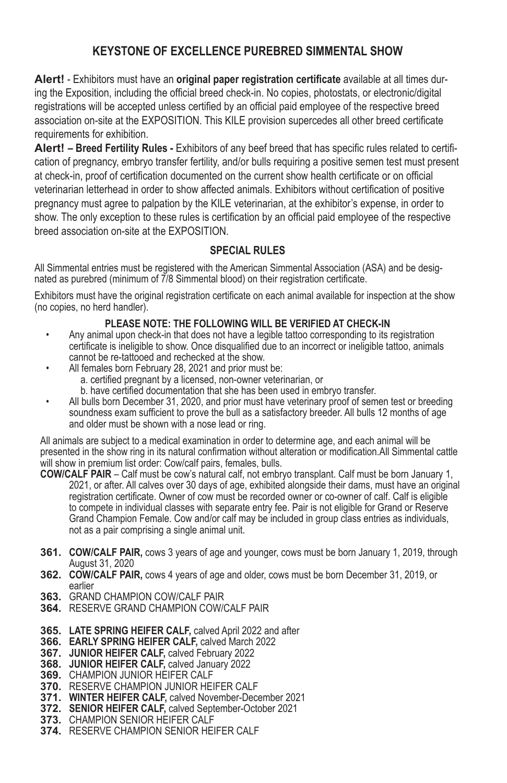## **KEYSTONE OF EXCELLENCE PUREBRED SIMMENTAL SHOW**

**Alert!** - Exhibitors must have an **original paper registration certificate** available at all times during the Exposition, including the official breed check-in. No copies, photostats, or electronic/digital registrations will be accepted unless certified by an official paid employee of the respective breed association on-site at the EXPOSITION. This KILE provision supercedes all other breed certificate requirements for exhibition.

**Alert! – Breed Fertility Rules -** Exhibitors of any beef breed that has specific rules related to certification of pregnancy, embryo transfer fertility, and/or bulls requiring a positive semen test must present at check-in, proof of certification documented on the current show health certificate or on official veterinarian letterhead in order to show affected animals. Exhibitors without certification of positive pregnancy must agree to palpation by the KILE veterinarian, at the exhibitor's expense, in order to show. The only exception to these rules is certification by an official paid employee of the respective breed association on-site at the EXPOSITION.

### **SPECIAL RULES**

All Simmental entries must be registered with the American Simmental Association (ASA) and be designated as purebred (minimum of 7/8 Simmental blood) on their registration certificate.

Exhibitors must have the original registration certificate on each animal available for inspection at the show (no copies, no herd handler).

#### **PLEASE NOTE: THE FOLLOWING WILL BE VERIFIED AT CHECK-IN**

- Any animal upon check-in that does not have a legible tattoo corresponding to its registration certificate is ineligible to show. Once disqualified due to an incorrect or ineligible tattoo, animals cannot be re-tattooed and rechecked at the show.
- All females born February 28, 2021 and prior must be:
	- a. certified pregnant by a licensed, non-owner veterinarian, or
	- b. have certified documentation that she has been used in embryo transfer.
- All bulls born December 31, 2020, and prior must have veterinary proof of semen test or breeding soundness exam sufficient to prove the bull as a satisfactory breeder. All bulls 12 months of age and older must be shown with a nose lead or ring.

All animals are subject to a medical examination in order to determine age, and each animal will be presented in the show ring in its natural confirmation without alteration or modification.All Simmental cattle will show in premium list order: Cow/calf pairs, females, bulls.

- **COW/CALF PAIR** Calf must be cow's natural calf, not embryo transplant. Calf must be born January 1, 2021, or after. All calves over 30 days of age, exhibited alongside their dams, must have an original registration certificate. Owner of cow must be recorded owner or co-owner of calf. Calf is eligible to compete in individual classes with separate entry fee. Pair is not eligible for Grand or Reserve Grand Champion Female. Cow and/or calf may be included in group class entries as individuals, not as a pair comprising a single animal unit.
- **361. COW/CALF PAIR,** cows 3 years of age and younger, cows must be born January 1, 2019, through August 31, 2020
- **362. COW/CALF PAIR,** cows 4 years of age and older, cows must be born December 31, 2019, or earlier
- **363.** GRAND CHAMPION COW/CALF PAIR
- **364.** RESERVE GRAND CHAMPION COW/CALF PAIR
- **365. LATE SPRING HEIFER CALF,** calved April 2022 and after
- **366. EARLY SPRING HEIFER CALF,** calved March 2022
- **367. JUNIOR HEIFER CALF,** calved February 2022
- **368. JUNIOR HEIFER CALF,** calved January 2022
- **369.** CHAMPION JUNIOR HEIFER CALF
- **370.** RESERVE CHAMPION JUNIOR HEIFER CALF
- **371. WINTER HEIFER CALF,** calved November‑December 2021
- **372. SENIOR HEIFER CALF,** calved September‑October 2021
- **373.** CHAMPION SENIOR HEIFER CALF
- **374.** RESERVE CHAMPION SENIOR HEIFER CALF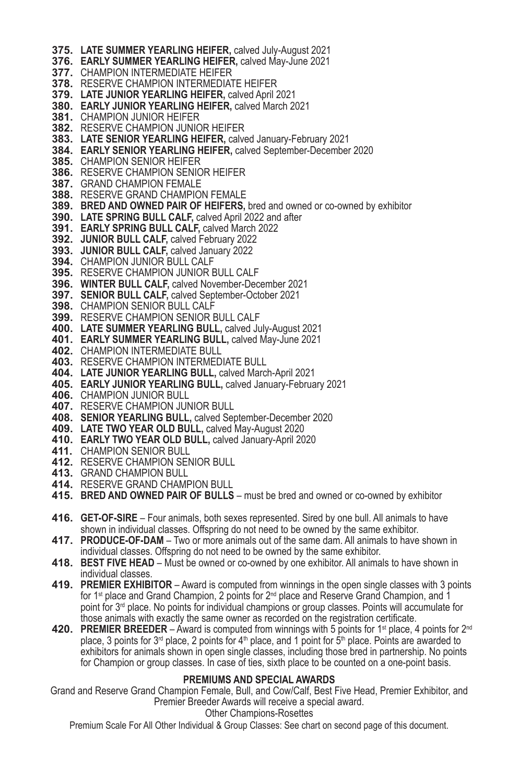- **375. LATE SUMMER YEARLING HEIFER,** calved July‑August 2021
- **376. EARLY SUMMER YEARLING HEIFER,** calved May‑June 2021
- **377.** CHAMPION INTERMEDIATE HEIFER
- **378.** RESERVE CHAMPION INTERMEDIATE HEIFER
- **379. LATE JUNIOR YEARLING HEIFER,** calved April 2021
- **380. EARLY JUNIOR YEARLING HEIFER,** calved March 2021
- **381.** CHAMPION JUNIOR HEIFER
- **382.** RESERVE CHAMPION JUNIOR HEIFER
- **383. LATE SENIOR YEARLING HEIFER,** calved January‑February 2021
- **384. EARLY SENIOR YEARLING HEIFER,** calved September‑December 2020
- **385.** CHAMPION SENIOR HEIFER
- **386.** RESERVE CHAMPION SENIOR HEIFER
- **387.** GRAND CHAMPION FEMALE
- **388.** RESERVE GRAND CHAMPION FEMALE
- **389. BRED AND OWNED PAIR OF HEIFERS,** bred and owned or co-owned by exhibitor
- **390. LATE SPRING BULL CALF,** calved April 2022 and after
- **391. EARLY SPRING BULL CALF,** calved March 2022
- **392. JUNIOR BULL CALF,** calved February 2022
- **393. JUNIOR BULL CALF,** calved January 2022
- **394.** CHAMPION JUNIOR BULL CALF
- **395.** RESERVE CHAMPION JUNIOR BULL CALF
- **396. WINTER BULL CALF,** calved November‑December 2021
- **397. SENIOR BULL CALF,** calved September‑October 2021
- **398.** CHAMPION SENIOR BULL CALF
- **399.** RESERVE CHAMPION SENIOR BULL CALF
- **400. LATE SUMMER YEARLING BULL,** calved July‑August 2021
- **401. EARLY SUMMER YEARLING BULL,** calved May‑June 2021
- **402.** CHAMPION INTERMEDIATE BULL
- **403.** RESERVE CHAMPION INTERMEDIATE BULL
- **404. LATE JUNIOR YEARLING BULL,** calved March-April 2021
- **405. EARLY JUNIOR YEARLING BULL,** calved January-February 2021
- **406.** CHAMPION JUNIOR BULL
- **407.** RESERVE CHAMPION JUNIOR BULL
- **408. SENIOR YEARLING BULL,** calved September‑December 2020
- **409. LATE TWO YEAR OLD BULL,** calved May‑August 2020
- **410. EARLY TWO YEAR OLD BULL,** calved January‑April 2020
- **411.** CHAMPION SENIOR BULL
- **412.** RESERVE CHAMPION SENIOR BULL
- **413.** GRAND CHAMPION BULL
- **414.** RESERVE GRAND CHAMPION BULL
- **415. BRED AND OWNED PAIR OF BULLS**  must be bred and owned or co-owned by exhibitor
- **416. GET-OF-SIRE**  Four animals, both sexes represented. Sired by one bull. All animals to have shown in individual classes. Offspring do not need to be owned by the same exhibitor.
- **417. PRODUCE-OF-DAM** Two or more animals out of the same dam. All animals to have shown in individual classes. Offspring do not need to be owned by the same exhibitor.
- **418. BEST FIVE HEAD**  Must be owned or co-owned by one exhibitor. All animals to have shown in individual classes.
- **419. PREMIER EXHIBITOR** Award is computed from winnings in the open single classes with 3 points for 1<sup>st</sup> place and Grand Champion, 2 points for 2<sup>nd</sup> place and Reserve Grand Champion, and 1 point for 3rd place. No points for individual champions or group classes. Points will accumulate for those animals with exactly the same owner as recorded on the registration certificate.
- **420. PREMIER BREEDER** Award is computed from winnings with 5 points for 1<sup>st</sup> place, 4 points for 2<sup>nd</sup> place, 3 points for  $3<sup>rd</sup>$  place, 2 points for  $4<sup>th</sup>$  place, and 1 point for  $5<sup>th</sup>$  place. Points are awarded to exhibitors for animals shown in open single classes, including those bred in partnership. No points for Champion or group classes. In case of ties, sixth place to be counted on a one-point basis.

#### **PREMIUMS AND SPECIAL AWARDS**

Grand and Reserve Grand Champion Female, Bull, and Cow/Calf, Best Five Head, Premier Exhibitor, and Premier Breeder Awards will receive a special award.

#### Other Champions-Rosettes

Premium Scale For All Other Individual & Group Classes: See chart on second page of this document.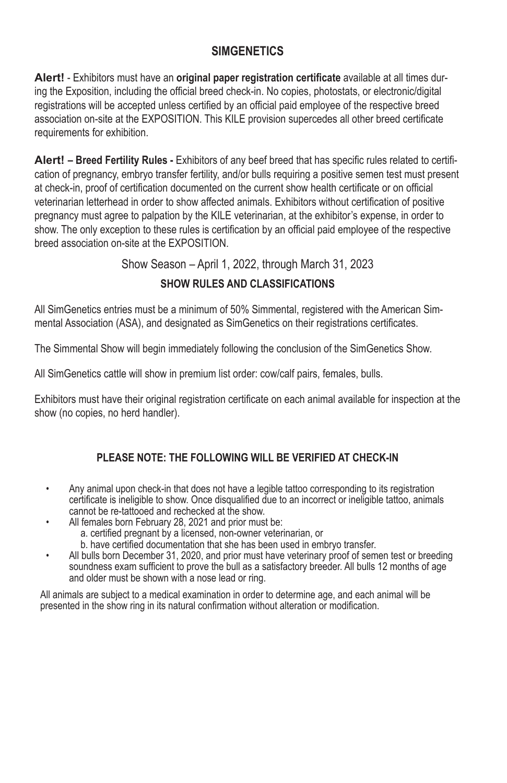# **SIMGENETICS**

**Alert!** - Exhibitors must have an **original paper registration certificate** available at all times during the Exposition, including the official breed check-in. No copies, photostats, or electronic/digital registrations will be accepted unless certified by an official paid employee of the respective breed association on-site at the EXPOSITION. This KILE provision supercedes all other breed certificate requirements for exhibition.

**Alert! – Breed Fertility Rules -** Exhibitors of any beef breed that has specific rules related to certification of pregnancy, embryo transfer fertility, and/or bulls requiring a positive semen test must present at check-in, proof of certification documented on the current show health certificate or on official veterinarian letterhead in order to show affected animals. Exhibitors without certification of positive pregnancy must agree to palpation by the KILE veterinarian, at the exhibitor's expense, in order to show. The only exception to these rules is certification by an official paid employee of the respective breed association on-site at the EXPOSITION.

Show Season – April 1, 2022, through March 31, 2023

## **SHOW RULES AND CLASSIFICATIONS**

All SimGenetics entries must be a minimum of 50% Simmental, registered with the American Simmental Association (ASA), and designated as SimGenetics on their registrations certificates.

The Simmental Show will begin immediately following the conclusion of the SimGenetics Show.

All SimGenetics cattle will show in premium list order: cow/calf pairs, females, bulls.

Exhibitors must have their original registration certificate on each animal available for inspection at the show (no copies, no herd handler).

## **PLEASE NOTE: THE FOLLOWING WILL BE VERIFIED AT CHECK-IN**

- Any animal upon check-in that does not have a legible tattoo corresponding to its registration certificate is ineligible to show. Once disqualified due to an incorrect or ineligible tattoo, animals cannot be re-tattooed and rechecked at the show.
	- All females born February 28, 2021 and prior must be:
		- a. certified pregnant by a licensed, non-owner veterinarian, or
			- b. have certified documentation that she has been used in embryo transfer.
- All bulls born December 31, 2020, and prior must have veterinary proof of semen test or breeding soundness exam sufficient to prove the bull as a satisfactory breeder. All bulls 12 months of age and older must be shown with a nose lead or ring.

All animals are subject to a medical examination in order to determine age, and each animal will be presented in the show ring in its natural confirmation without alteration or modification.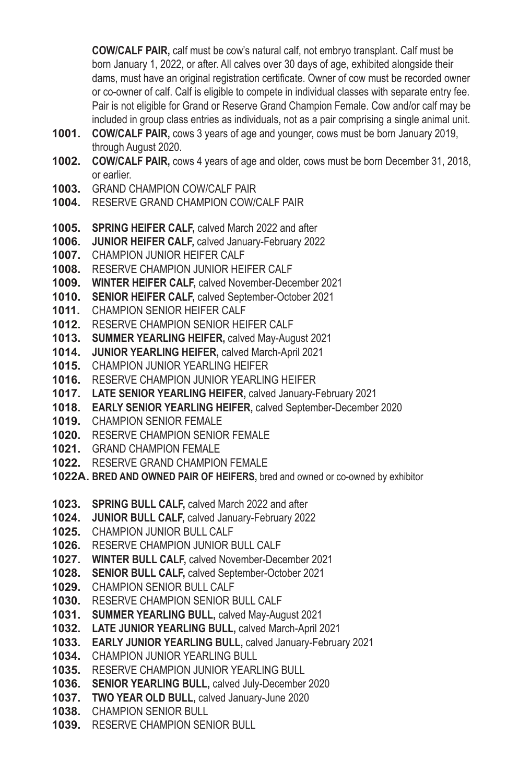**COW/CALF PAIR,** calf must be cow's natural calf, not embryo transplant. Calf must be born January 1, 2022, or after. All calves over 30 days of age, exhibited alongside their dams, must have an original registration certificate. Owner of cow must be recorded owner or co-owner of calf. Calf is eligible to compete in individual classes with separate entry fee. Pair is not eligible for Grand or Reserve Grand Champion Female. Cow and/or calf may be included in group class entries as individuals, not as a pair comprising a single animal unit.

- **1001. COW/CALF PAIR,** cows 3 years of age and younger, cows must be born January 2019, through August 2020.
- **1002. COW/CALF PAIR,** cows 4 years of age and older, cows must be born December 31, 2018, or earlier.
- **1003.** GRAND CHAMPION COW/CALF PAIR
- **1004.** RESERVE GRAND CHAMPION COW/CALF PAIR
- **1005. SPRING HEIFER CALF,** calved March 2022 and after
- **1006. JUNIOR HEIFER CALF,** calved January-February 2022
- **1007.** CHAMPION JUNIOR HEIFER CALF
- **1008.** RESERVE CHAMPION JUNIOR HEIFER CALF
- **1009. WINTER HEIFER CALF,** calved November-December 2021
- **1010. SENIOR HEIFER CALF,** calved September-October 2021
- **1011.** CHAMPION SENIOR HEIFER CALF
- **1012.** RESERVE CHAMPION SENIOR HEIFER CALF
- **1013. SUMMER YEARLING HEIFER,** calved May-August 2021
- **1014. JUNIOR YEARLING HEIFER,** calved March-April 2021
- **1015.** CHAMPION JUNIOR YEARLING HEIFER
- **1016.** RESERVE CHAMPION JUNIOR YEARLING HEIFER
- **1017. LATE SENIOR YEARLING HEIFER,** calved January-February 2021
- **1018. EARLY SENIOR YEARLING HEIFER,** calved September-December 2020
- **1019.** CHAMPION SENIOR FEMALE
- **1020.** RESERVE CHAMPION SENIOR FEMALE
- **1021.** GRAND CHAMPION FEMALE
- **1022.** RESERVE GRAND CHAMPION FEMALE
- **1022A. BRED AND OWNED PAIR OF HEIFERS,** bred and owned or co-owned by exhibitor
- **1023. SPRING BULL CALF,** calved March 2022 and after
- **1024. JUNIOR BULL CALF,** calved January-February 2022
- **1025.** CHAMPION JUNIOR BULL CALF
- **1026.** RESERVE CHAMPION JUNIOR BULL CALF
- **1027. WINTER BULL CALF,** calved November-December 2021
- **1028. SENIOR BULL CALF,** calved September-October 2021
- **1029.** CHAMPION SENIOR BULL CALF
- **1030.** RESERVE CHAMPION SENIOR BULL CALF
- **1031. SUMMER YEARLING BULL,** calved May-August 2021
- **1032. LATE JUNIOR YEARLING BULL,** calved March-April 2021
- **1033. EARLY JUNIOR YEARLING BULL,** calved January-February 2021
- **1034.** CHAMPION JUNIOR YEARLING BULL
- **1035.** RESERVE CHAMPION JUNIOR YEARLING BULL
- **1036. SENIOR YEARLING BULL,** calved July-December 2020
- **1037. TWO YEAR OLD BULL,** calved January-June 2020
- **1038.** CHAMPION SENIOR BULL
- **1039.** RESERVE CHAMPION SENIOR BULL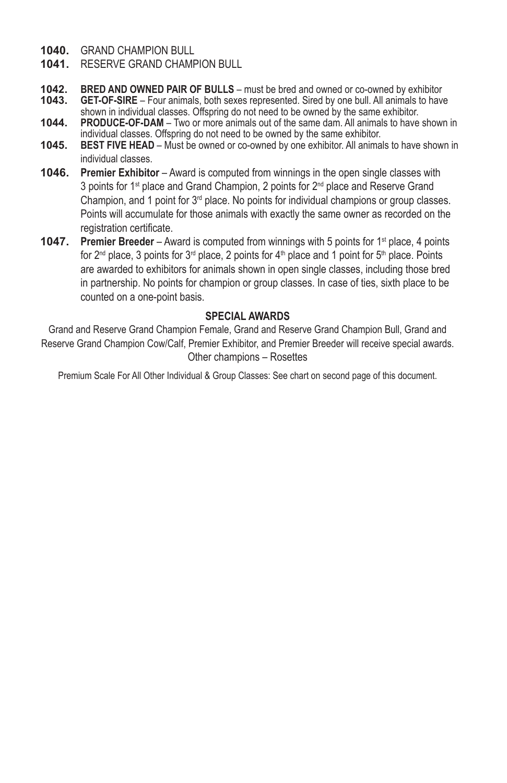**1040.** GRAND CHAMPION BULL

**1041.** RESERVE GRAND CHAMPION BULL

- **1042. BRED AND OWNED PAIR OF BULLS**  must be bred and owned or co-owned by exhibitor **GET-OF-SIRE** – Four animals, both sexes represented. Sired by one bull. All animals to have shown in individual classes. Offspring do not need to be owned by the same exhibitor.
- **1044. PRODUCE-OF-DAM** Two or more animals out of the same dam. All animals to have shown in individual classes. Offspring do not need to be owned by the same exhibitor.
- **1045. BEST FIVE HEAD**  Must be owned or co-owned by one exhibitor. All animals to have shown in individual classes.
- **1046. Premier Exhibitor** Award is computed from winnings in the open single classes with 3 points for 1<sup>st</sup> place and Grand Champion, 2 points for 2<sup>nd</sup> place and Reserve Grand Champion, and 1 point for 3<sup>rd</sup> place. No points for individual champions or group classes. Points will accumulate for those animals with exactly the same owner as recorded on the registration certificate.
- **1047.** Premier Breeder Award is computed from winnings with 5 points for 1<sup>st</sup> place, 4 points for  $2^{nd}$  place, 3 points for  $3^{rd}$  place, 2 points for  $4^{th}$  place and 1 point for  $5^{th}$  place. Points are awarded to exhibitors for animals shown in open single classes, including those bred in partnership. No points for champion or group classes. In case of ties, sixth place to be counted on a one-point basis.

#### **SPECIAL AWARDS**

Grand and Reserve Grand Champion Female, Grand and Reserve Grand Champion Bull, Grand and Reserve Grand Champion Cow/Calf, Premier Exhibitor, and Premier Breeder will receive special awards. Other champions – Rosettes

Premium Scale For All Other Individual & Group Classes: See chart on second page of this document.